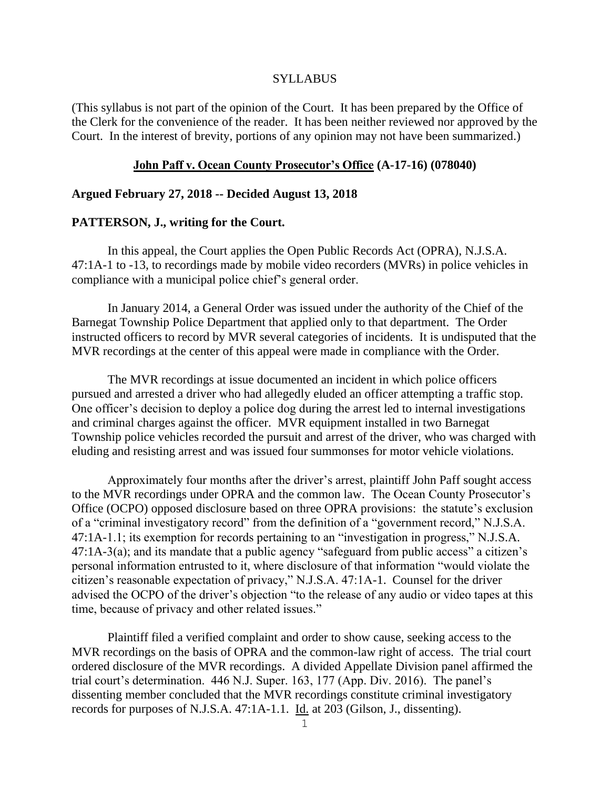### SYLLABUS

(This syllabus is not part of the opinion of the Court. It has been prepared by the Office of the Clerk for the convenience of the reader. It has been neither reviewed nor approved by the Court. In the interest of brevity, portions of any opinion may not have been summarized.)

# **John Paff v. Ocean County Prosecutor's Office (A-17-16) (078040)**

# **Argued February 27, 2018 -- Decided August 13, 2018**

### **PATTERSON, J., writing for the Court.**

In this appeal, the Court applies the Open Public Records Act (OPRA), N.J.S.A. 47:1A-1 to -13, to recordings made by mobile video recorders (MVRs) in police vehicles in compliance with a municipal police chief's general order.

In January 2014, a General Order was issued under the authority of the Chief of the Barnegat Township Police Department that applied only to that department. The Order instructed officers to record by MVR several categories of incidents. It is undisputed that the MVR recordings at the center of this appeal were made in compliance with the Order.

The MVR recordings at issue documented an incident in which police officers pursued and arrested a driver who had allegedly eluded an officer attempting a traffic stop. One officer's decision to deploy a police dog during the arrest led to internal investigations and criminal charges against the officer. MVR equipment installed in two Barnegat Township police vehicles recorded the pursuit and arrest of the driver, who was charged with eluding and resisting arrest and was issued four summonses for motor vehicle violations.

Approximately four months after the driver's arrest, plaintiff John Paff sought access to the MVR recordings under OPRA and the common law. The Ocean County Prosecutor's Office (OCPO) opposed disclosure based on three OPRA provisions: the statute's exclusion of a "criminal investigatory record" from the definition of a "government record," N.J.S.A. 47:1A-1.1; its exemption for records pertaining to an "investigation in progress," N.J.S.A. 47:1A-3(a); and its mandate that a public agency "safeguard from public access" a citizen's personal information entrusted to it, where disclosure of that information "would violate the citizen's reasonable expectation of privacy," N.J.S.A. 47:1A-1. Counsel for the driver advised the OCPO of the driver's objection "to the release of any audio or video tapes at this time, because of privacy and other related issues."

Plaintiff filed a verified complaint and order to show cause, seeking access to the MVR recordings on the basis of OPRA and the common-law right of access. The trial court ordered disclosure of the MVR recordings. A divided Appellate Division panel affirmed the trial court's determination. 446 N.J. Super. 163, 177 (App. Div. 2016). The panel's dissenting member concluded that the MVR recordings constitute criminal investigatory records for purposes of N.J.S.A. 47:1A-1.1. Id. at 203 (Gilson, J., dissenting).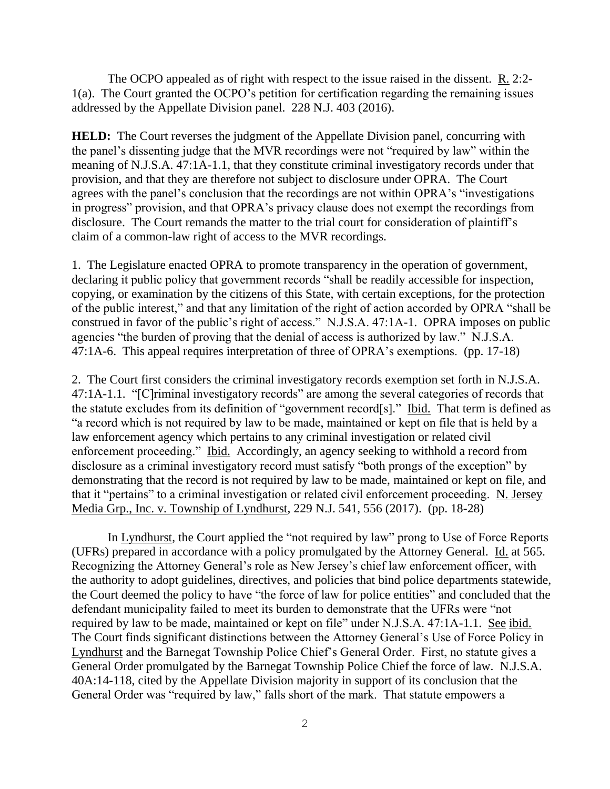The OCPO appealed as of right with respect to the issue raised in the dissent. R. 2:2- 1(a). The Court granted the OCPO's petition for certification regarding the remaining issues addressed by the Appellate Division panel. 228 N.J. 403 (2016).

**HELD:** The Court reverses the judgment of the Appellate Division panel, concurring with the panel's dissenting judge that the MVR recordings were not "required by law" within the meaning of N.J.S.A. 47:1A-1.1, that they constitute criminal investigatory records under that provision, and that they are therefore not subject to disclosure under OPRA. The Court agrees with the panel's conclusion that the recordings are not within OPRA's "investigations in progress" provision, and that OPRA's privacy clause does not exempt the recordings from disclosure. The Court remands the matter to the trial court for consideration of plaintiff's claim of a common-law right of access to the MVR recordings.

1. The Legislature enacted OPRA to promote transparency in the operation of government, declaring it public policy that government records "shall be readily accessible for inspection, copying, or examination by the citizens of this State, with certain exceptions, for the protection of the public interest," and that any limitation of the right of action accorded by OPRA "shall be construed in favor of the public's right of access." N.J.S.A. 47:1A-1. OPRA imposes on public agencies "the burden of proving that the denial of access is authorized by law." N.J.S.A. 47:1A-6. This appeal requires interpretation of three of OPRA's exemptions. (pp. 17-18)

2. The Court first considers the criminal investigatory records exemption set forth in N.J.S.A. 47:1A-1.1. "[C]riminal investigatory records" are among the several categories of records that the statute excludes from its definition of "government record[s]." Ibid. That term is defined as "a record which is not required by law to be made, maintained or kept on file that is held by a law enforcement agency which pertains to any criminal investigation or related civil enforcement proceeding." Ibid. Accordingly, an agency seeking to withhold a record from disclosure as a criminal investigatory record must satisfy "both prongs of the exception" by demonstrating that the record is not required by law to be made, maintained or kept on file, and that it "pertains" to a criminal investigation or related civil enforcement proceeding. N. Jersey Media Grp., Inc. v. Township of Lyndhurst, 229 N.J. 541, 556 (2017). (pp. 18-28)

In Lyndhurst, the Court applied the "not required by law" prong to Use of Force Reports (UFRs) prepared in accordance with a policy promulgated by the Attorney General. Id. at 565. Recognizing the Attorney General's role as New Jersey's chief law enforcement officer, with the authority to adopt guidelines, directives, and policies that bind police departments statewide, the Court deemed the policy to have "the force of law for police entities" and concluded that the defendant municipality failed to meet its burden to demonstrate that the UFRs were "not required by law to be made, maintained or kept on file" under N.J.S.A. 47:1A-1.1. See ibid. The Court finds significant distinctions between the Attorney General's Use of Force Policy in Lyndhurst and the Barnegat Township Police Chief's General Order. First, no statute gives a General Order promulgated by the Barnegat Township Police Chief the force of law. N.J.S.A. 40A:14-118, cited by the Appellate Division majority in support of its conclusion that the General Order was "required by law," falls short of the mark. That statute empowers a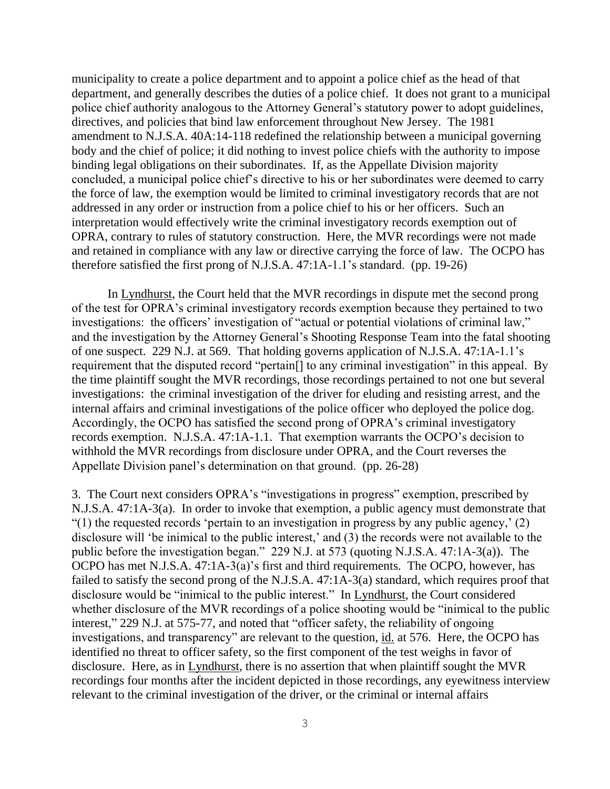municipality to create a police department and to appoint a police chief as the head of that department, and generally describes the duties of a police chief. It does not grant to a municipal police chief authority analogous to the Attorney General's statutory power to adopt guidelines, directives, and policies that bind law enforcement throughout New Jersey. The 1981 amendment to N.J.S.A. 40A:14-118 redefined the relationship between a municipal governing body and the chief of police; it did nothing to invest police chiefs with the authority to impose binding legal obligations on their subordinates. If, as the Appellate Division majority concluded, a municipal police chief's directive to his or her subordinates were deemed to carry the force of law, the exemption would be limited to criminal investigatory records that are not addressed in any order or instruction from a police chief to his or her officers. Such an interpretation would effectively write the criminal investigatory records exemption out of OPRA, contrary to rules of statutory construction. Here, the MVR recordings were not made and retained in compliance with any law or directive carrying the force of law. The OCPO has therefore satisfied the first prong of N.J.S.A. 47:1A-1.1's standard. (pp. 19-26)

In Lyndhurst, the Court held that the MVR recordings in dispute met the second prong of the test for OPRA's criminal investigatory records exemption because they pertained to two investigations: the officers' investigation of "actual or potential violations of criminal law," and the investigation by the Attorney General's Shooting Response Team into the fatal shooting of one suspect. 229 N.J. at 569. That holding governs application of N.J.S.A. 47:1A-1.1's requirement that the disputed record "pertain[] to any criminal investigation" in this appeal. By the time plaintiff sought the MVR recordings, those recordings pertained to not one but several investigations: the criminal investigation of the driver for eluding and resisting arrest, and the internal affairs and criminal investigations of the police officer who deployed the police dog. Accordingly, the OCPO has satisfied the second prong of OPRA's criminal investigatory records exemption. N.J.S.A. 47:1A-1.1. That exemption warrants the OCPO's decision to withhold the MVR recordings from disclosure under OPRA, and the Court reverses the Appellate Division panel's determination on that ground. (pp. 26-28)

3. The Court next considers OPRA's "investigations in progress" exemption, prescribed by N.J.S.A. 47:1A-3(a). In order to invoke that exemption, a public agency must demonstrate that "(1) the requested records 'pertain to an investigation in progress by any public agency,'  $(2)$ disclosure will 'be inimical to the public interest,' and (3) the records were not available to the public before the investigation began." 229 N.J. at 573 (quoting N.J.S.A. 47:1A-3(a)). The OCPO has met N.J.S.A. 47:1A-3(a)'s first and third requirements. The OCPO, however, has failed to satisfy the second prong of the N.J.S.A. 47:1A-3(a) standard, which requires proof that disclosure would be "inimical to the public interest." In Lyndhurst, the Court considered whether disclosure of the MVR recordings of a police shooting would be "inimical to the public interest," 229 N.J. at 575-77, and noted that "officer safety, the reliability of ongoing investigations, and transparency" are relevant to the question, id. at 576. Here, the OCPO has identified no threat to officer safety, so the first component of the test weighs in favor of disclosure. Here, as in Lyndhurst, there is no assertion that when plaintiff sought the MVR recordings four months after the incident depicted in those recordings, any eyewitness interview relevant to the criminal investigation of the driver, or the criminal or internal affairs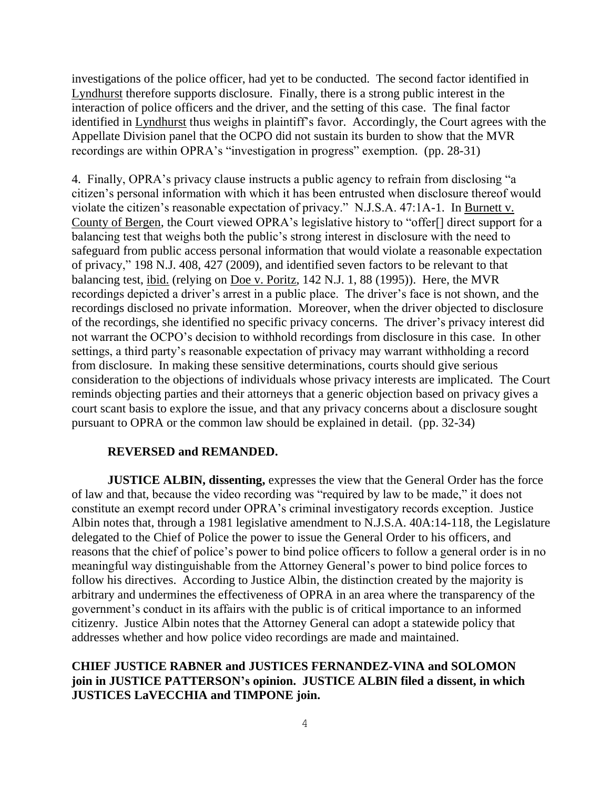investigations of the police officer, had yet to be conducted. The second factor identified in Lyndhurst therefore supports disclosure. Finally, there is a strong public interest in the interaction of police officers and the driver, and the setting of this case. The final factor identified in Lyndhurst thus weighs in plaintiff's favor. Accordingly, the Court agrees with the Appellate Division panel that the OCPO did not sustain its burden to show that the MVR recordings are within OPRA's "investigation in progress" exemption. (pp. 28-31)

4. Finally, OPRA's privacy clause instructs a public agency to refrain from disclosing "a citizen's personal information with which it has been entrusted when disclosure thereof would violate the citizen's reasonable expectation of privacy." N.J.S.A. 47:1A-1. In Burnett v. County of Bergen, the Court viewed OPRA's legislative history to "offer[] direct support for a balancing test that weighs both the public's strong interest in disclosure with the need to safeguard from public access personal information that would violate a reasonable expectation of privacy," 198 N.J. 408, 427 (2009), and identified seven factors to be relevant to that balancing test, ibid. (relying on Doe v. Poritz, 142 N.J. 1, 88 (1995)). Here, the MVR recordings depicted a driver's arrest in a public place. The driver's face is not shown, and the recordings disclosed no private information. Moreover, when the driver objected to disclosure of the recordings, she identified no specific privacy concerns. The driver's privacy interest did not warrant the OCPO's decision to withhold recordings from disclosure in this case. In other settings, a third party's reasonable expectation of privacy may warrant withholding a record from disclosure. In making these sensitive determinations, courts should give serious consideration to the objections of individuals whose privacy interests are implicated. The Court reminds objecting parties and their attorneys that a generic objection based on privacy gives a court scant basis to explore the issue, and that any privacy concerns about a disclosure sought pursuant to OPRA or the common law should be explained in detail. (pp. 32-34)

# **REVERSED and REMANDED.**

**JUSTICE ALBIN, dissenting,** expresses the view that the General Order has the force of law and that, because the video recording was "required by law to be made," it does not constitute an exempt record under OPRA's criminal investigatory records exception. Justice Albin notes that, through a 1981 legislative amendment to N.J.S.A. 40A:14-118, the Legislature delegated to the Chief of Police the power to issue the General Order to his officers, and reasons that the chief of police's power to bind police officers to follow a general order is in no meaningful way distinguishable from the Attorney General's power to bind police forces to follow his directives. According to Justice Albin, the distinction created by the majority is arbitrary and undermines the effectiveness of OPRA in an area where the transparency of the government's conduct in its affairs with the public is of critical importance to an informed citizenry. Justice Albin notes that the Attorney General can adopt a statewide policy that addresses whether and how police video recordings are made and maintained.

# **CHIEF JUSTICE RABNER and JUSTICES FERNANDEZ-VINA and SOLOMON join in JUSTICE PATTERSON's opinion. JUSTICE ALBIN filed a dissent, in which JUSTICES LaVECCHIA and TIMPONE join.**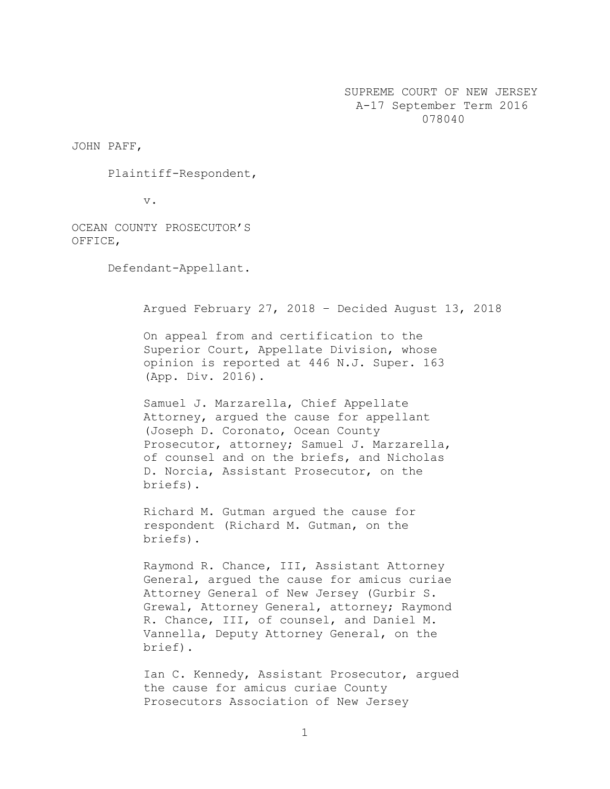SUPREME COURT OF NEW JERSEY A-17 September Term 2016 078040

JOHN PAFF,

Plaintiff-Respondent,

v.

OCEAN COUNTY PROSECUTOR'S OFFICE,

Defendant-Appellant.

Argued February 27, 2018 – Decided August 13, 2018

On appeal from and certification to the Superior Court, Appellate Division, whose opinion is reported at 446 N.J. Super. 163 (App. Div. 2016).

Samuel J. Marzarella, Chief Appellate Attorney, argued the cause for appellant (Joseph D. Coronato, Ocean County Prosecutor, attorney; Samuel J. Marzarella, of counsel and on the briefs, and Nicholas D. Norcia, Assistant Prosecutor, on the briefs).

Richard M. Gutman argued the cause for respondent (Richard M. Gutman, on the briefs).

Raymond R. Chance, III, Assistant Attorney General, argued the cause for amicus curiae Attorney General of New Jersey (Gurbir S. Grewal, Attorney General, attorney; Raymond R. Chance, III, of counsel, and Daniel M. Vannella, Deputy Attorney General, on the brief).

Ian C. Kennedy, Assistant Prosecutor, argued the cause for amicus curiae County Prosecutors Association of New Jersey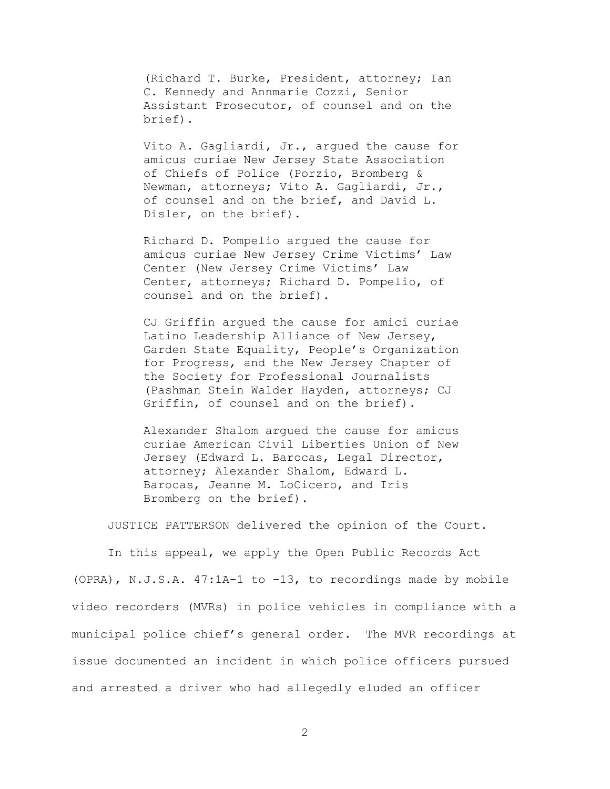(Richard T. Burke, President, attorney; Ian C. Kennedy and Annmarie Cozzi, Senior Assistant Prosecutor, of counsel and on the brief).

Vito A. Gagliardi, Jr., argued the cause for amicus curiae New Jersey State Association of Chiefs of Police (Porzio, Bromberg & Newman, attorneys; Vito A. Gagliardi, Jr., of counsel and on the brief, and David L. Disler, on the brief).

Richard D. Pompelio argued the cause for amicus curiae New Jersey Crime Victims' Law Center (New Jersey Crime Victims' Law Center, attorneys; Richard D. Pompelio, of counsel and on the brief).

CJ Griffin argued the cause for amici curiae Latino Leadership Alliance of New Jersey, Garden State Equality, People's Organization for Progress, and the New Jersey Chapter of the Society for Professional Journalists (Pashman Stein Walder Hayden, attorneys; CJ Griffin, of counsel and on the brief).

Alexander Shalom argued the cause for amicus curiae American Civil Liberties Union of New Jersey (Edward L. Barocas, Legal Director, attorney; Alexander Shalom, Edward L. Barocas, Jeanne M. LoCicero, and Iris Bromberg on the brief).

JUSTICE PATTERSON delivered the opinion of the Court.

In this appeal, we apply the Open Public Records Act (OPRA), N.J.S.A. 47:1A-1 to -13, to recordings made by mobile video recorders (MVRs) in police vehicles in compliance with a municipal police chief's general order. The MVR recordings at issue documented an incident in which police officers pursued and arrested a driver who had allegedly eluded an officer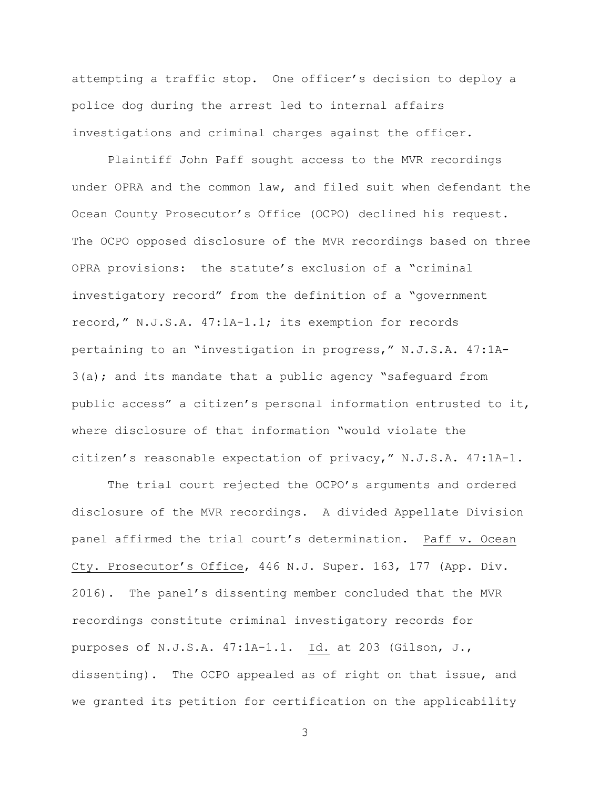attempting a traffic stop. One officer's decision to deploy a police dog during the arrest led to internal affairs investigations and criminal charges against the officer.

Plaintiff John Paff sought access to the MVR recordings under OPRA and the common law, and filed suit when defendant the Ocean County Prosecutor's Office (OCPO) declined his request. The OCPO opposed disclosure of the MVR recordings based on three OPRA provisions: the statute's exclusion of a "criminal investigatory record" from the definition of a "government record," N.J.S.A. 47:1A-1.1; its exemption for records pertaining to an "investigation in progress," N.J.S.A. 47:1A-3(a); and its mandate that a public agency "safeguard from public access" a citizen's personal information entrusted to it, where disclosure of that information "would violate the citizen's reasonable expectation of privacy," N.J.S.A. 47:1A-1.

The trial court rejected the OCPO's arguments and ordered disclosure of the MVR recordings. A divided Appellate Division panel affirmed the trial court's determination. Paff v. Ocean Cty. Prosecutor's Office, 446 N.J. Super. 163, 177 (App. Div. 2016). The panel's dissenting member concluded that the MVR recordings constitute criminal investigatory records for purposes of N.J.S.A. 47:1A-1.1. Id. at 203 (Gilson, J., dissenting). The OCPO appealed as of right on that issue, and we granted its petition for certification on the applicability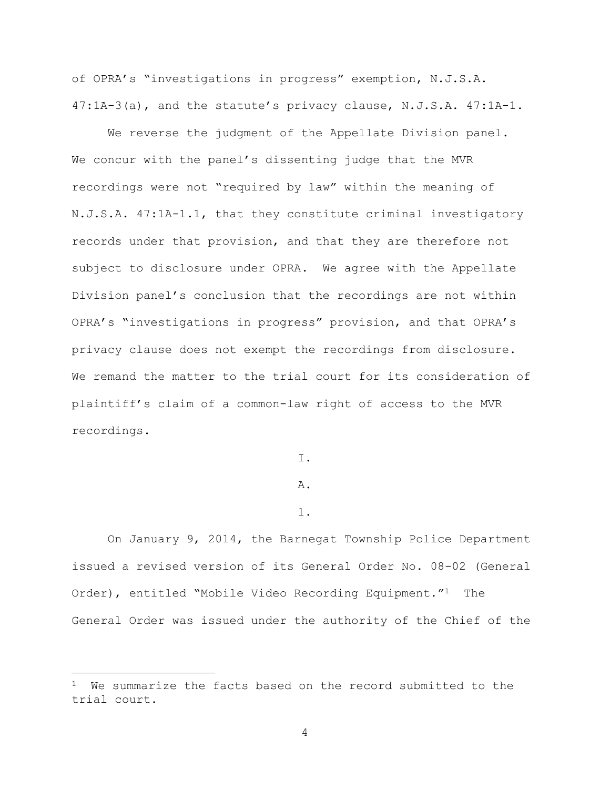of OPRA's "investigations in progress" exemption, N.J.S.A. 47:1A-3(a), and the statute's privacy clause, N.J.S.A. 47:1A-1.

We reverse the judgment of the Appellate Division panel. We concur with the panel's dissenting judge that the MVR recordings were not "required by law" within the meaning of N.J.S.A. 47:1A-1.1, that they constitute criminal investigatory records under that provision, and that they are therefore not subject to disclosure under OPRA. We agree with the Appellate Division panel's conclusion that the recordings are not within OPRA's "investigations in progress" provision, and that OPRA's privacy clause does not exempt the recordings from disclosure. We remand the matter to the trial court for its consideration of plaintiff's claim of a common-law right of access to the MVR recordings.

I.

### A.

### 1.

On January 9, 2014, the Barnegat Township Police Department issued a revised version of its General Order No. 08-02 (General Order), entitled "Mobile Video Recording Equipment."<sup>1</sup> The General Order was issued under the authority of the Chief of the

i<br>L

We summarize the facts based on the record submitted to the trial court.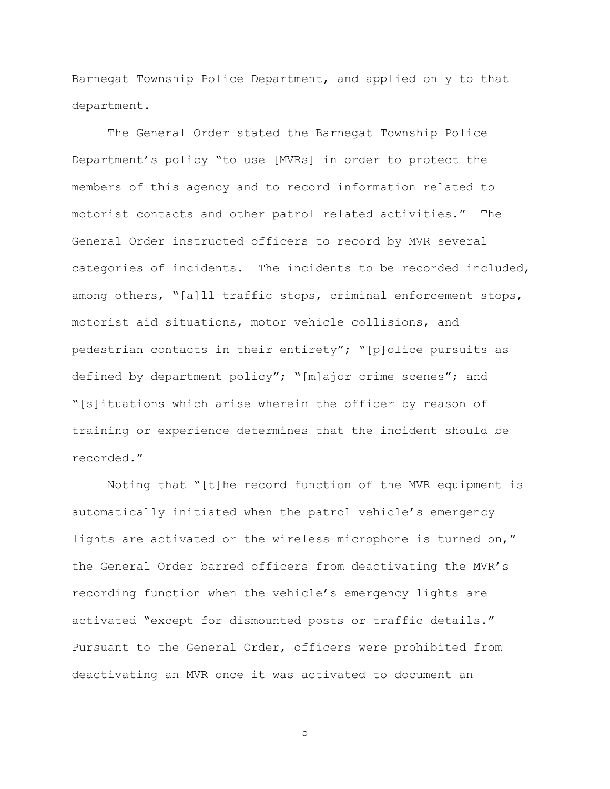Barnegat Township Police Department, and applied only to that department.

The General Order stated the Barnegat Township Police Department's policy "to use [MVRs] in order to protect the members of this agency and to record information related to motorist contacts and other patrol related activities." The General Order instructed officers to record by MVR several categories of incidents. The incidents to be recorded included, among others, "[a]ll traffic stops, criminal enforcement stops, motorist aid situations, motor vehicle collisions, and pedestrian contacts in their entirety"; "[p]olice pursuits as defined by department policy"; "[m]ajor crime scenes"; and "[s]ituations which arise wherein the officer by reason of training or experience determines that the incident should be recorded."

Noting that "[t]he record function of the MVR equipment is automatically initiated when the patrol vehicle's emergency lights are activated or the wireless microphone is turned on," the General Order barred officers from deactivating the MVR's recording function when the vehicle's emergency lights are activated "except for dismounted posts or traffic details." Pursuant to the General Order, officers were prohibited from deactivating an MVR once it was activated to document an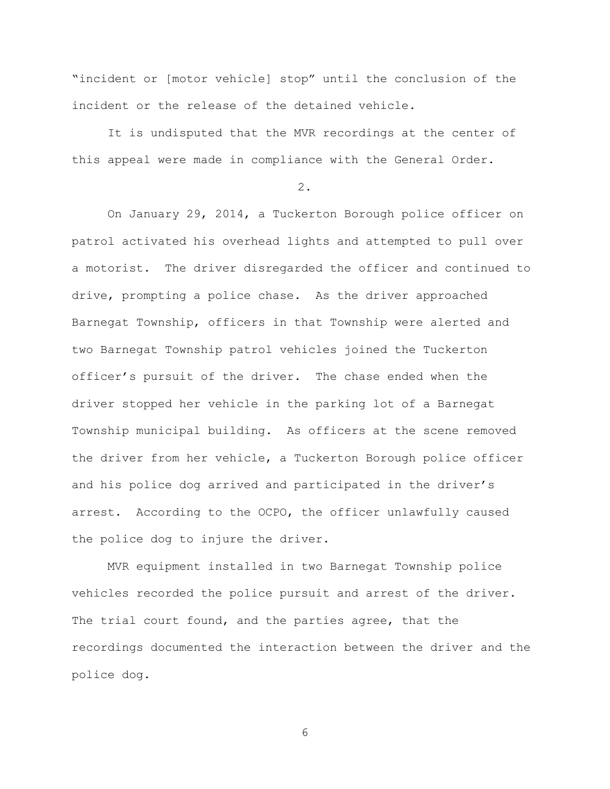"incident or [motor vehicle] stop" until the conclusion of the incident or the release of the detained vehicle.

It is undisputed that the MVR recordings at the center of this appeal were made in compliance with the General Order.

2.

On January 29, 2014, a Tuckerton Borough police officer on patrol activated his overhead lights and attempted to pull over a motorist. The driver disregarded the officer and continued to drive, prompting a police chase. As the driver approached Barnegat Township, officers in that Township were alerted and two Barnegat Township patrol vehicles joined the Tuckerton officer's pursuit of the driver. The chase ended when the driver stopped her vehicle in the parking lot of a Barnegat Township municipal building. As officers at the scene removed the driver from her vehicle, a Tuckerton Borough police officer and his police dog arrived and participated in the driver's arrest. According to the OCPO, the officer unlawfully caused the police dog to injure the driver.

MVR equipment installed in two Barnegat Township police vehicles recorded the police pursuit and arrest of the driver. The trial court found, and the parties agree, that the recordings documented the interaction between the driver and the police dog.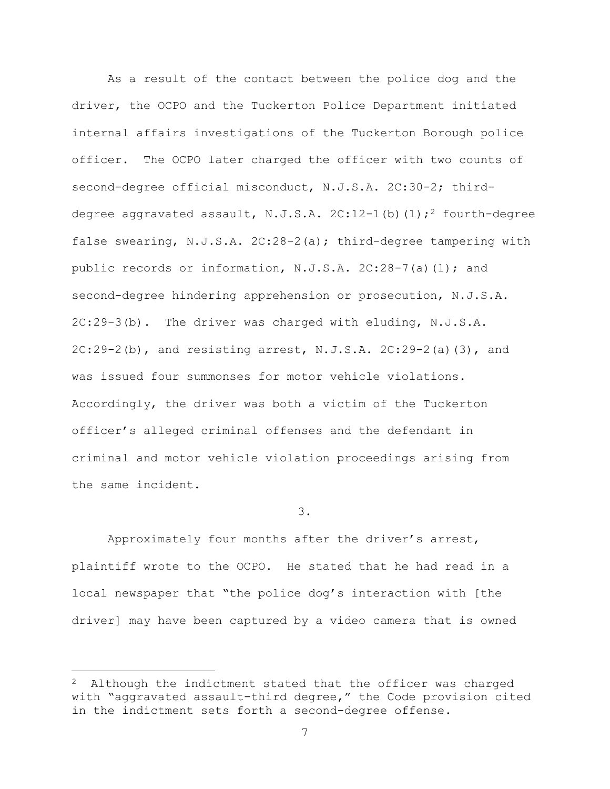As a result of the contact between the police dog and the driver, the OCPO and the Tuckerton Police Department initiated internal affairs investigations of the Tuckerton Borough police officer. The OCPO later charged the officer with two counts of second-degree official misconduct, N.J.S.A. 2C:30-2; thirddegree aggravated assault, N.J.S.A.  $2C:12-1$  (b)  $(1);^2$  fourth-degree false swearing, N.J.S.A. 2C:28-2(a); third-degree tampering with public records or information, N.J.S.A. 2C:28-7(a)(1); and second-degree hindering apprehension or prosecution, N.J.S.A. 2C:29-3(b).The driver was charged with eluding, N.J.S.A.  $2C:29-2(b)$ , and resisting arrest, N.J.S.A.  $2C:29-2(a)(3)$ , and was issued four summonses for motor vehicle violations. Accordingly, the driver was both a victim of the Tuckerton officer's alleged criminal offenses and the defendant in criminal and motor vehicle violation proceedings arising from the same incident.

3.

Approximately four months after the driver's arrest, plaintiff wrote to the OCPO. He stated that he had read in a local newspaper that "the police dog's interaction with [the driver] may have been captured by a video camera that is owned

i<br>L

Although the indictment stated that the officer was charged with "aggravated assault-third degree," the Code provision cited in the indictment sets forth a second-degree offense.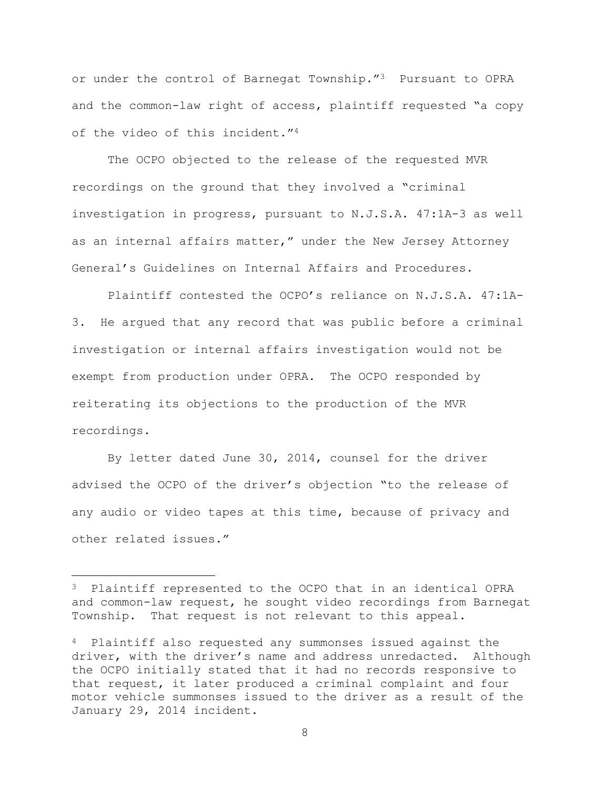or under the control of Barnegat Township."3 Pursuant to OPRA and the common-law right of access, plaintiff requested "a copy of the video of this incident."<sup>4</sup>

The OCPO objected to the release of the requested MVR recordings on the ground that they involved a "criminal investigation in progress, pursuant to N.J.S.A. 47:1A-3 as well as an internal affairs matter," under the New Jersey Attorney General's Guidelines on Internal Affairs and Procedures.

Plaintiff contested the OCPO's reliance on N.J.S.A. 47:1A-3. He argued that any record that was public before a criminal investigation or internal affairs investigation would not be exempt from production under OPRA. The OCPO responded by reiterating its objections to the production of the MVR recordings.

By letter dated June 30, 2014, counsel for the driver advised the OCPO of the driver's objection "to the release of any audio or video tapes at this time, because of privacy and other related issues."

i<br>L

<sup>3</sup> Plaintiff represented to the OCPO that in an identical OPRA and common-law request, he sought video recordings from Barnegat Township. That request is not relevant to this appeal.

<sup>4</sup> Plaintiff also requested any summonses issued against the driver, with the driver's name and address unredacted. Although the OCPO initially stated that it had no records responsive to that request, it later produced a criminal complaint and four motor vehicle summonses issued to the driver as a result of the January 29, 2014 incident.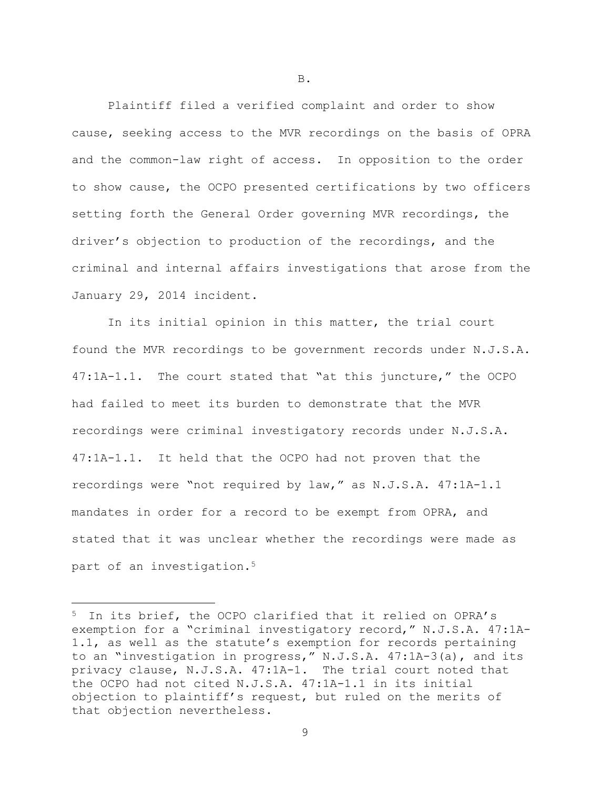Plaintiff filed a verified complaint and order to show cause, seeking access to the MVR recordings on the basis of OPRA and the common-law right of access. In opposition to the order to show cause, the OCPO presented certifications by two officers setting forth the General Order governing MVR recordings, the driver's objection to production of the recordings, and the criminal and internal affairs investigations that arose from the January 29, 2014 incident.

In its initial opinion in this matter, the trial court found the MVR recordings to be government records under N.J.S.A. 47:1A-1.1. The court stated that "at this juncture," the OCPO had failed to meet its burden to demonstrate that the MVR recordings were criminal investigatory records under N.J.S.A. 47:1A-1.1. It held that the OCPO had not proven that the recordings were "not required by law," as N.J.S.A. 47:1A-1.1 mandates in order for a record to be exempt from OPRA, and stated that it was unclear whether the recordings were made as part of an investigation.<sup>5</sup>

i<br>L

B.

<sup>5</sup> In its brief, the OCPO clarified that it relied on OPRA's exemption for a "criminal investigatory record," N.J.S.A. 47:1A-1.1, as well as the statute's exemption for records pertaining to an "investigation in progress," N.J.S.A. 47:1A-3(a), and its privacy clause, N.J.S.A. 47:1A-1. The trial court noted that the OCPO had not cited N.J.S.A. 47:1A-1.1 in its initial objection to plaintiff's request, but ruled on the merits of that objection nevertheless.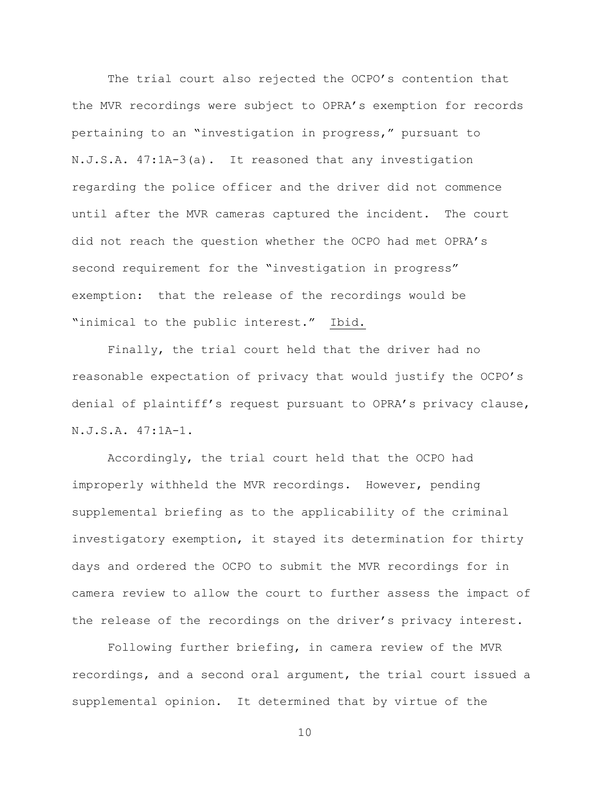The trial court also rejected the OCPO's contention that the MVR recordings were subject to OPRA's exemption for records pertaining to an "investigation in progress," pursuant to N.J.S.A. 47:1A-3(a). It reasoned that any investigation regarding the police officer and the driver did not commence until after the MVR cameras captured the incident. The court did not reach the question whether the OCPO had met OPRA's second requirement for the "investigation in progress" exemption: that the release of the recordings would be "inimical to the public interest." Ibid.

Finally, the trial court held that the driver had no reasonable expectation of privacy that would justify the OCPO's denial of plaintiff's request pursuant to OPRA's privacy clause, N.J.S.A. 47:1A-1.

Accordingly, the trial court held that the OCPO had improperly withheld the MVR recordings. However, pending supplemental briefing as to the applicability of the criminal investigatory exemption, it stayed its determination for thirty days and ordered the OCPO to submit the MVR recordings for in camera review to allow the court to further assess the impact of the release of the recordings on the driver's privacy interest.

Following further briefing, in camera review of the MVR recordings, and a second oral argument, the trial court issued a supplemental opinion. It determined that by virtue of the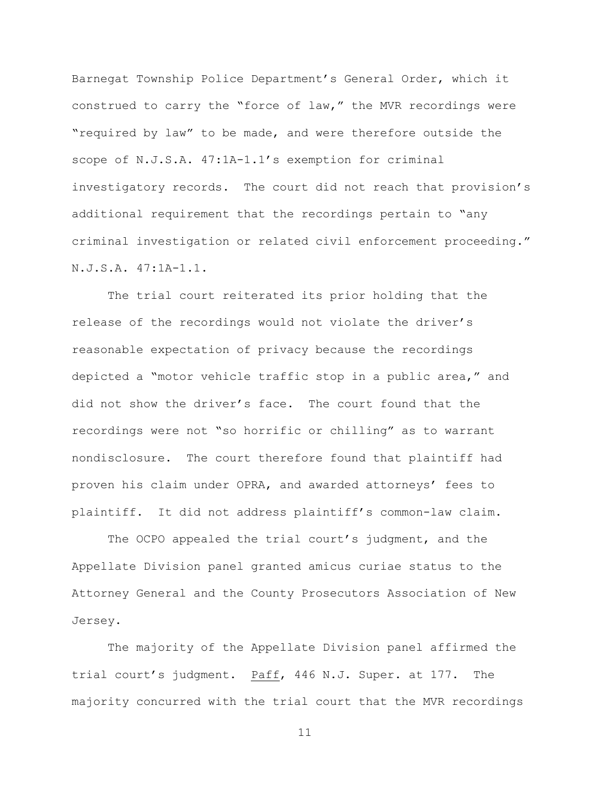Barnegat Township Police Department's General Order, which it construed to carry the "force of law," the MVR recordings were "required by law" to be made, and were therefore outside the scope of N.J.S.A. 47:1A-1.1's exemption for criminal investigatory records. The court did not reach that provision's additional requirement that the recordings pertain to "any criminal investigation or related civil enforcement proceeding." N.J.S.A. 47:1A-1.1.

The trial court reiterated its prior holding that the release of the recordings would not violate the driver's reasonable expectation of privacy because the recordings depicted a "motor vehicle traffic stop in a public area," and did not show the driver's face. The court found that the recordings were not "so horrific or chilling" as to warrant nondisclosure. The court therefore found that plaintiff had proven his claim under OPRA, and awarded attorneys' fees to plaintiff. It did not address plaintiff's common-law claim.

The OCPO appealed the trial court's judgment, and the Appellate Division panel granted amicus curiae status to the Attorney General and the County Prosecutors Association of New Jersey.

The majority of the Appellate Division panel affirmed the trial court's judgment. Paff, 446 N.J. Super. at 177.The majority concurred with the trial court that the MVR recordings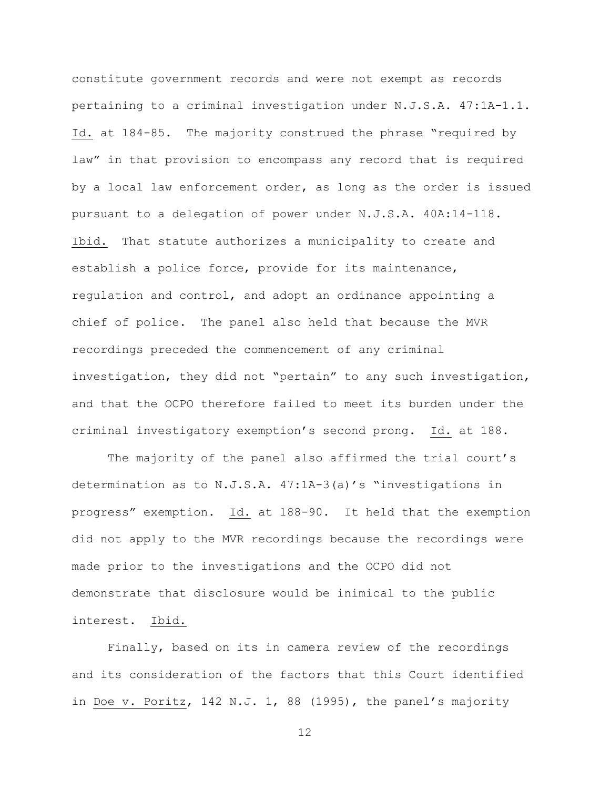constitute government records and were not exempt as records pertaining to a criminal investigation under N.J.S.A. 47:1A-1.1. Id. at 184-85. The majority construed the phrase "required by law" in that provision to encompass any record that is required by a local law enforcement order, as long as the order is issued pursuant to a delegation of power under N.J.S.A. 40A:14-118. Ibid. That statute authorizes a municipality to create and establish a police force, provide for its maintenance, regulation and control, and adopt an ordinance appointing a chief of police. The panel also held that because the MVR recordings preceded the commencement of any criminal investigation, they did not "pertain" to any such investigation, and that the OCPO therefore failed to meet its burden under the criminal investigatory exemption's second prong. Id. at 188.

The majority of the panel also affirmed the trial court's determination as to N.J.S.A. 47:1A-3(a)'s "investigations in progress" exemption. Id. at 188-90. It held that the exemption did not apply to the MVR recordings because the recordings were made prior to the investigations and the OCPO did not demonstrate that disclosure would be inimical to the public interest. Ibid.

Finally, based on its in camera review of the recordings and its consideration of the factors that this Court identified in Doe v. Poritz, 142 N.J. 1, 88 (1995), the panel's majority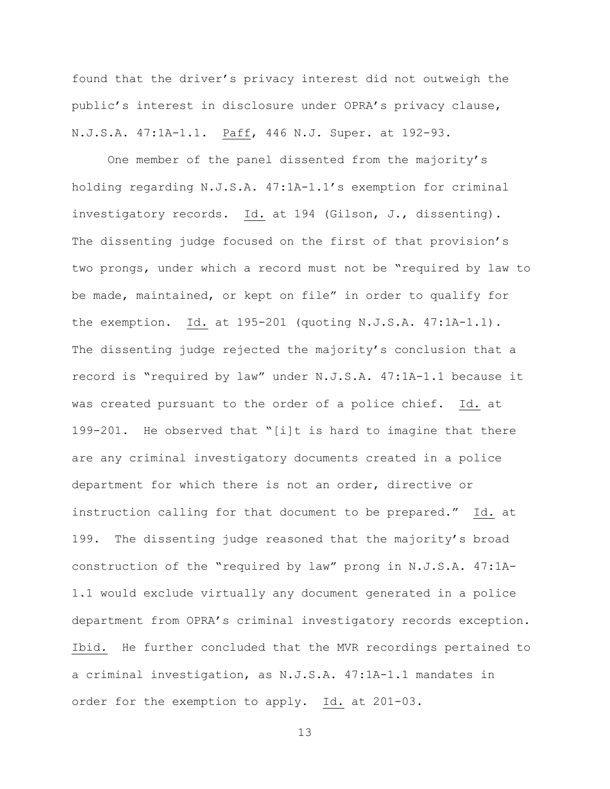found that the driver's privacy interest did not outweigh the public's interest in disclosure under OPRA's privacy clause, N.J.S.A. 47:1A-1.1. Paff, 446 N.J. Super. at 192-93.

One member of the panel dissented from the majority's holding regarding N.J.S.A. 47:1A-1.1's exemption for criminal investigatory records. Id. at 194 (Gilson, J., dissenting). The dissenting judge focused on the first of that provision's two prongs, under which a record must not be "required by law to be made, maintained, or kept on file" in order to qualify for the exemption. Id. at 195-201 (quoting N.J.S.A. 47:1A-1.1). The dissenting judge rejected the majority's conclusion that a record is "required by law" under N.J.S.A. 47:1A-1.1 because it was created pursuant to the order of a police chief. Id. at 199-201. He observed that "[i]t is hard to imagine that there are any criminal investigatory documents created in a police department for which there is not an order, directive or instruction calling for that document to be prepared." Id. at 199. The dissenting judge reasoned that the majority's broad construction of the "required by law" prong in N.J.S.A. 47:1A-1.1 would exclude virtually any document generated in a police department from OPRA's criminal investigatory records exception. Ibid. He further concluded that the MVR recordings pertained to a criminal investigation, as N.J.S.A. 47:1A-1.1 mandates in order for the exemption to apply. Id. at 201-03.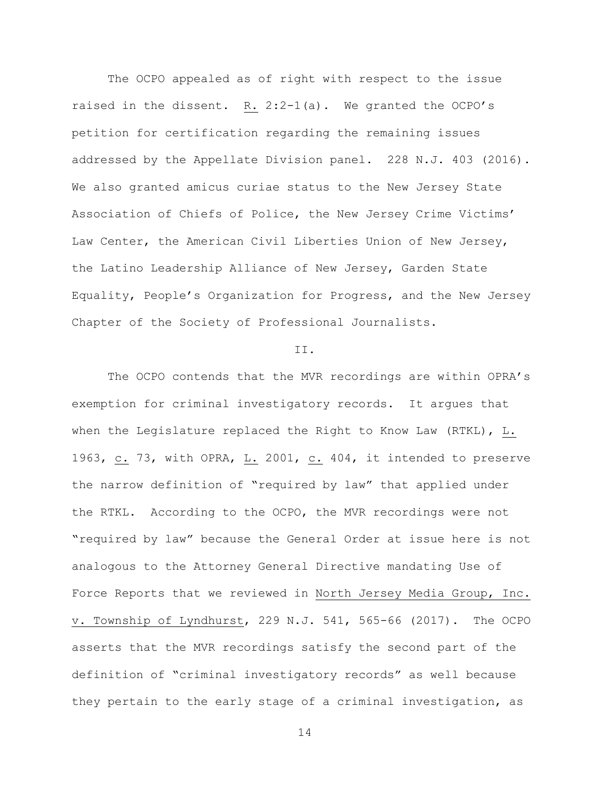The OCPO appealed as of right with respect to the issue raised in the dissent. R. 2:2-1(a).We granted the OCPO's petition for certification regarding the remaining issues addressed by the Appellate Division panel. 228 N.J. 403 (2016). We also granted amicus curiae status to the New Jersey State Association of Chiefs of Police, the New Jersey Crime Victims' Law Center, the American Civil Liberties Union of New Jersey, the Latino Leadership Alliance of New Jersey, Garden State Equality, People's Organization for Progress, and the New Jersey Chapter of the Society of Professional Journalists.

#### II.

The OCPO contends that the MVR recordings are within OPRA's exemption for criminal investigatory records. It argues that when the Legislature replaced the Right to Know Law (RTKL), L. 1963, c. 73, with OPRA, L. 2001, c. 404, it intended to preserve the narrow definition of "required by law" that applied under the RTKL. According to the OCPO, the MVR recordings were not "required by law" because the General Order at issue here is not analogous to the Attorney General Directive mandating Use of Force Reports that we reviewed in North Jersey Media Group, Inc. v. Township of Lyndhurst, 229 N.J. 541, 565-66 (2017). The OCPO asserts that the MVR recordings satisfy the second part of the definition of "criminal investigatory records" as well because they pertain to the early stage of a criminal investigation, as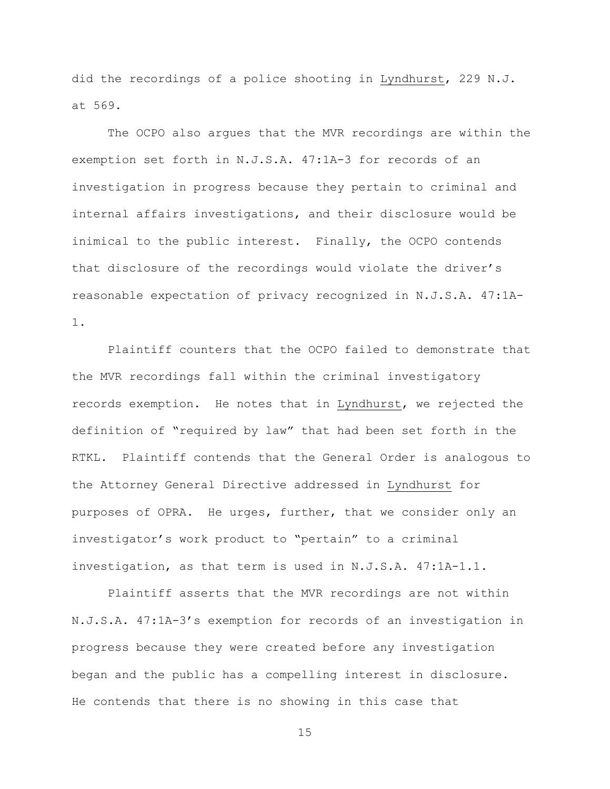did the recordings of a police shooting in Lyndhurst, 229 N.J. at 569.

The OCPO also argues that the MVR recordings are within the exemption set forth in N.J.S.A. 47:1A-3 for records of an investigation in progress because they pertain to criminal and internal affairs investigations, and their disclosure would be inimical to the public interest. Finally, the OCPO contends that disclosure of the recordings would violate the driver's reasonable expectation of privacy recognized in N.J.S.A. 47:1A-1.

Plaintiff counters that the OCPO failed to demonstrate that the MVR recordings fall within the criminal investigatory records exemption. He notes that in Lyndhurst, we rejected the definition of "required by law" that had been set forth in the RTKL**.** Plaintiff contends that the General Order is analogous to the Attorney General Directive addressed in Lyndhurst for purposes of OPRA. He urges, further, that we consider only an investigator's work product to "pertain" to a criminal investigation, as that term is used in N.J.S.A. 47:1A-1.1.

Plaintiff asserts that the MVR recordings are not within N.J.S.A. 47:1A-3's exemption for records of an investigation in progress because they were created before any investigation began and the public has a compelling interest in disclosure. He contends that there is no showing in this case that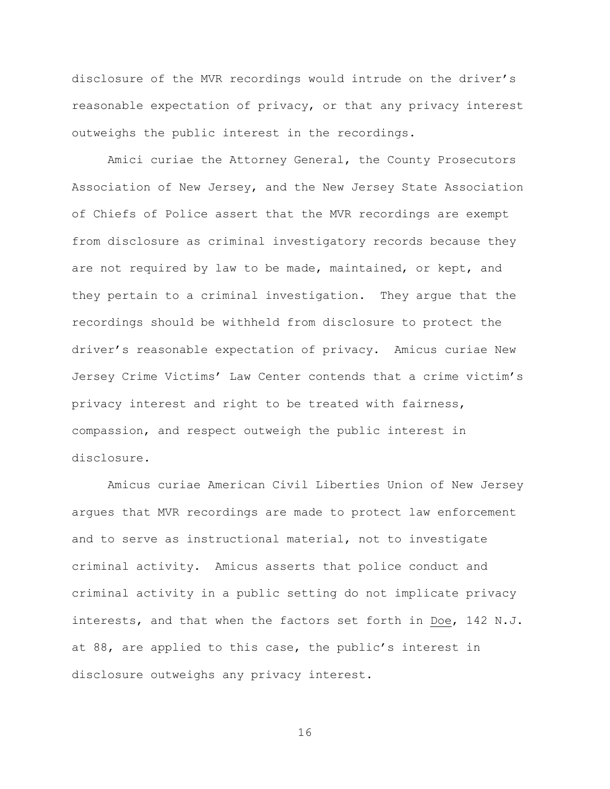disclosure of the MVR recordings would intrude on the driver's reasonable expectation of privacy, or that any privacy interest outweighs the public interest in the recordings.

Amici curiae the Attorney General, the County Prosecutors Association of New Jersey, and the New Jersey State Association of Chiefs of Police assert that the MVR recordings are exempt from disclosure as criminal investigatory records because they are not required by law to be made, maintained, or kept, and they pertain to a criminal investigation. They argue that the recordings should be withheld from disclosure to protect the driver's reasonable expectation of privacy. Amicus curiae New Jersey Crime Victims' Law Center contends that a crime victim's privacy interest and right to be treated with fairness, compassion, and respect outweigh the public interest in disclosure.

Amicus curiae American Civil Liberties Union of New Jersey argues that MVR recordings are made to protect law enforcement and to serve as instructional material, not to investigate criminal activity. Amicus asserts that police conduct and criminal activity in a public setting do not implicate privacy interests, and that when the factors set forth in Doe, 142 N.J. at 88, are applied to this case, the public's interest in disclosure outweighs any privacy interest.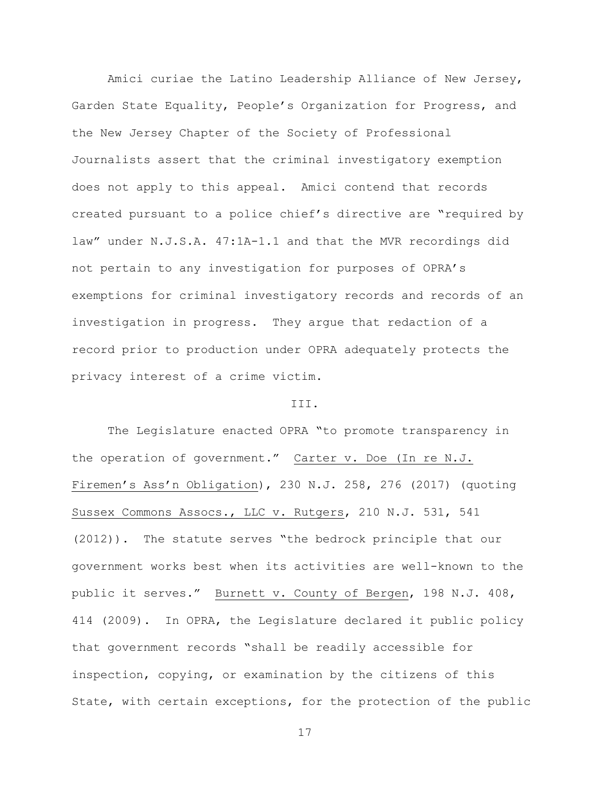Amici curiae the Latino Leadership Alliance of New Jersey, Garden State Equality, People's Organization for Progress, and the New Jersey Chapter of the Society of Professional Journalists assert that the criminal investigatory exemption does not apply to this appeal. Amici contend that records created pursuant to a police chief's directive are "required by law" under N.J.S.A. 47:1A-1.1 and that the MVR recordings did not pertain to any investigation for purposes of OPRA's exemptions for criminal investigatory records and records of an investigation in progress. They argue that redaction of a record prior to production under OPRA adequately protects the privacy interest of a crime victim.

### III.

The Legislature enacted OPRA "to promote transparency in the operation of government." Carter v. Doe (In re N.J. Firemen's Ass'n Obligation), 230 N.J. 258, 276 (2017) (quoting Sussex Commons Assocs., LLC v. Rutgers, 210 N.J. 531, 541 (2012)). The statute serves "the bedrock principle that our government works best when its activities are well-known to the public it serves." Burnett v. County of Bergen, 198 N.J. 408, 414 (2009). In OPRA, the Legislature declared it public policy that government records "shall be readily accessible for inspection, copying, or examination by the citizens of this State, with certain exceptions, for the protection of the public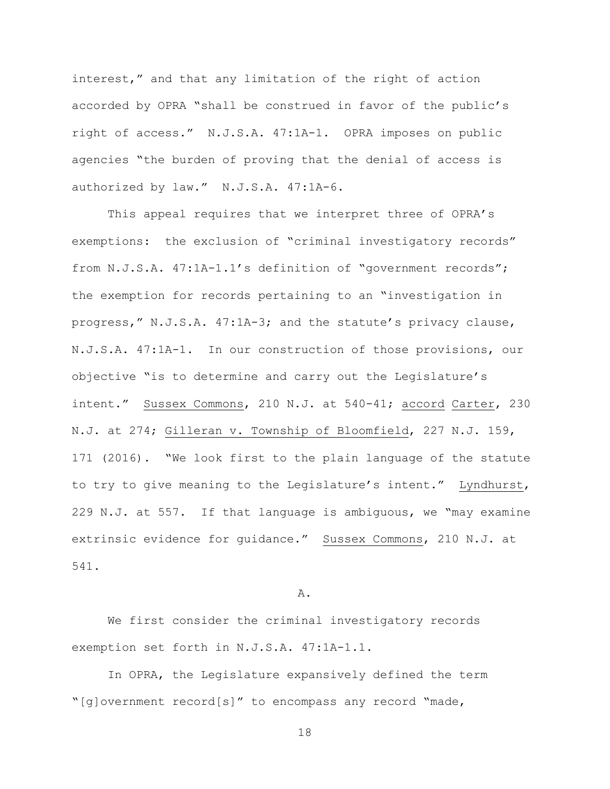interest," and that any limitation of the right of action accorded by OPRA "shall be construed in favor of the public's right of access." N.J.S.A. 47:1A-1. OPRA imposes on public agencies "the burden of proving that the denial of access is authorized by law." N.J.S.A. 47:1A-6.

This appeal requires that we interpret three of OPRA's exemptions: the exclusion of "criminal investigatory records" from N.J.S.A. 47:1A-1.1's definition of "government records"; the exemption for records pertaining to an "investigation in progress," N.J.S.A. 47:1A-3; and the statute's privacy clause, N.J.S.A. 47:1A-1. In our construction of those provisions, our objective "is to determine and carry out the Legislature's intent." Sussex Commons, 210 N.J. at 540-41; accord Carter, 230 N.J. at 274; Gilleran v. Township of Bloomfield, 227 N.J. 159, 171 (2016). "We look first to the plain language of the statute to try to give meaning to the Legislature's intent." Lyndhurst, 229 N.J. at 557. If that language is ambiguous, we "may examine extrinsic evidence for guidance." Sussex Commons, 210 N.J. at 541.

### A.

We first consider the criminal investigatory records exemption set forth in N.J.S.A. 47:1A-1.1.

In OPRA, the Legislature expansively defined the term "[g]overnment record[s]" to encompass any record "made,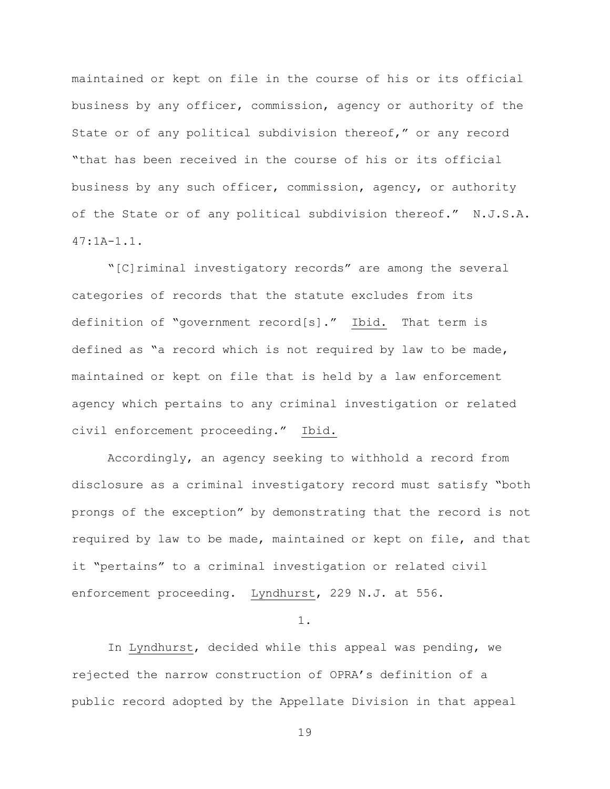maintained or kept on file in the course of his or its official business by any officer, commission, agency or authority of the State or of any political subdivision thereof," or any record "that has been received in the course of his or its official business by any such officer, commission, agency, or authority of the State or of any political subdivision thereof." N.J.S.A.  $47:1A-1.1$ .

"[C]riminal investigatory records" are among the several categories of records that the statute excludes from its definition of "government record[s]." Ibid. That term is defined as "a record which is not required by law to be made, maintained or kept on file that is held by a law enforcement agency which pertains to any criminal investigation or related civil enforcement proceeding." Ibid.

Accordingly, an agency seeking to withhold a record from disclosure as a criminal investigatory record must satisfy "both prongs of the exception" by demonstrating that the record is not required by law to be made, maintained or kept on file, and that it "pertains" to a criminal investigation or related civil enforcement proceeding. Lyndhurst, 229 N.J. at 556.

1.

In Lyndhurst, decided while this appeal was pending, we rejected the narrow construction of OPRA's definition of a public record adopted by the Appellate Division in that appeal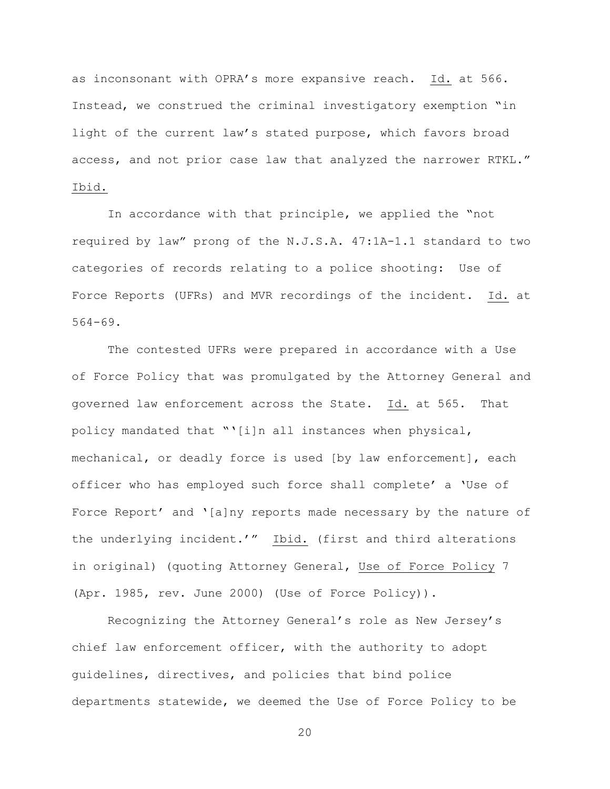as inconsonant with OPRA's more expansive reach. Id. at 566. Instead, we construed the criminal investigatory exemption "in light of the current law's stated purpose, which favors broad access, and not prior case law that analyzed the narrower RTKL." Ibid.

In accordance with that principle, we applied the "not required by law" prong of the N.J.S.A. 47:1A-1.1 standard to two categories of records relating to a police shooting: Use of Force Reports (UFRs) and MVR recordings of the incident. Id. at 564-69.

The contested UFRs were prepared in accordance with a Use of Force Policy that was promulgated by the Attorney General and governed law enforcement across the State. Id. at 565. That policy mandated that "'[i]n all instances when physical, mechanical, or deadly force is used [by law enforcement], each officer who has employed such force shall complete' a 'Use of Force Report' and '[a]ny reports made necessary by the nature of the underlying incident.'" Ibid. (first and third alterations in original) (quoting Attorney General, Use of Force Policy 7 (Apr. 1985, rev. June 2000) (Use of Force Policy)).

Recognizing the Attorney General's role as New Jersey's chief law enforcement officer, with the authority to adopt guidelines, directives, and policies that bind police departments statewide, we deemed the Use of Force Policy to be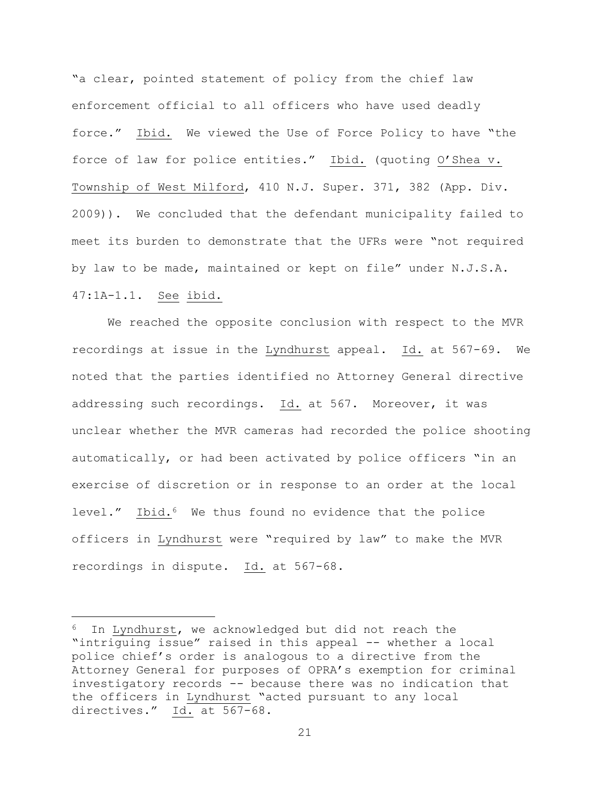"a clear, pointed statement of policy from the chief law enforcement official to all officers who have used deadly force." Ibid. We viewed the Use of Force Policy to have "the force of law for police entities." Ibid. (quoting O'Shea v. Township of West Milford, 410 N.J. Super. 371, 382 (App. Div. 2009)). We concluded that the defendant municipality failed to meet its burden to demonstrate that the UFRs were "not required by law to be made, maintained or kept on file" under N.J.S.A. 47:1A-1.1. See ibid.

We reached the opposite conclusion with respect to the MVR recordings at issue in the Lyndhurst appeal. Id. at 567-69. We noted that the parties identified no Attorney General directive addressing such recordings. Id. at 567. Moreover, it was unclear whether the MVR cameras had recorded the police shooting automatically, or had been activated by police officers "in an exercise of discretion or in response to an order at the local level." Ibid.<sup>6</sup> We thus found no evidence that the police officers in Lyndhurst were "required by law" to make the MVR recordings in dispute. Id. at 567-68.

i<br>L

<sup>6</sup> In Lyndhurst, we acknowledged but did not reach the "intriguing issue" raised in this appeal -- whether a local police chief's order is analogous to a directive from the Attorney General for purposes of OPRA's exemption for criminal investigatory records -- because there was no indication that the officers in Lyndhurst "acted pursuant to any local directives." Id. at 567-68.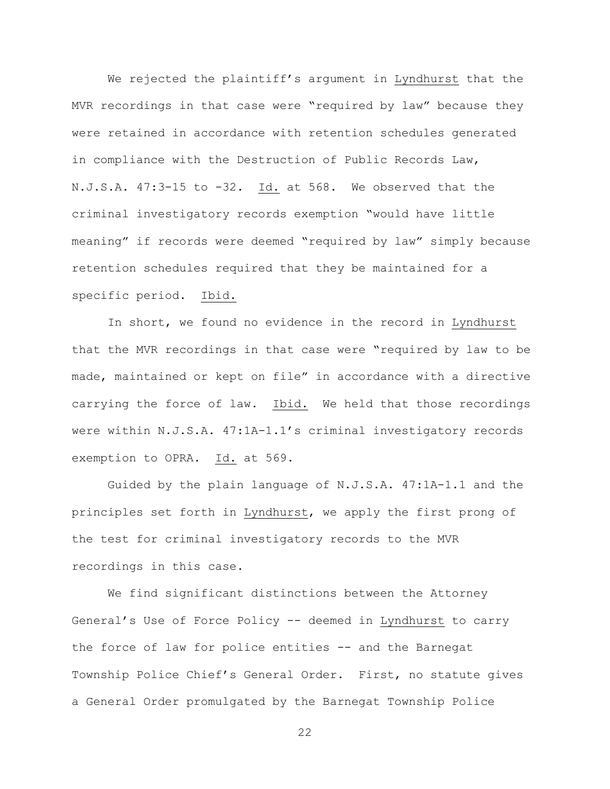We rejected the plaintiff's argument in Lyndhurst that the MVR recordings in that case were "required by law" because they were retained in accordance with retention schedules generated in compliance with the Destruction of Public Records Law, N.J.S.A. 47:3-15 to -32. Id. at 568. We observed that the criminal investigatory records exemption "would have little meaning" if records were deemed "required by law" simply because retention schedules required that they be maintained for a specific period. Ibid.

In short, we found no evidence in the record in Lyndhurst that the MVR recordings in that case were "required by law to be made, maintained or kept on file" in accordance with a directive carrying the force of law. Ibid. We held that those recordings were within N.J.S.A. 47:1A-1.1's criminal investigatory records exemption to OPRA. Id. at 569.

Guided by the plain language of N.J.S.A. 47:1A-1.1 and the principles set forth in Lyndhurst, we apply the first prong of the test for criminal investigatory records to the MVR recordings in this case.

We find significant distinctions between the Attorney General's Use of Force Policy -- deemed in Lyndhurst to carry the force of law for police entities -- and the Barnegat Township Police Chief's General Order. First, no statute gives a General Order promulgated by the Barnegat Township Police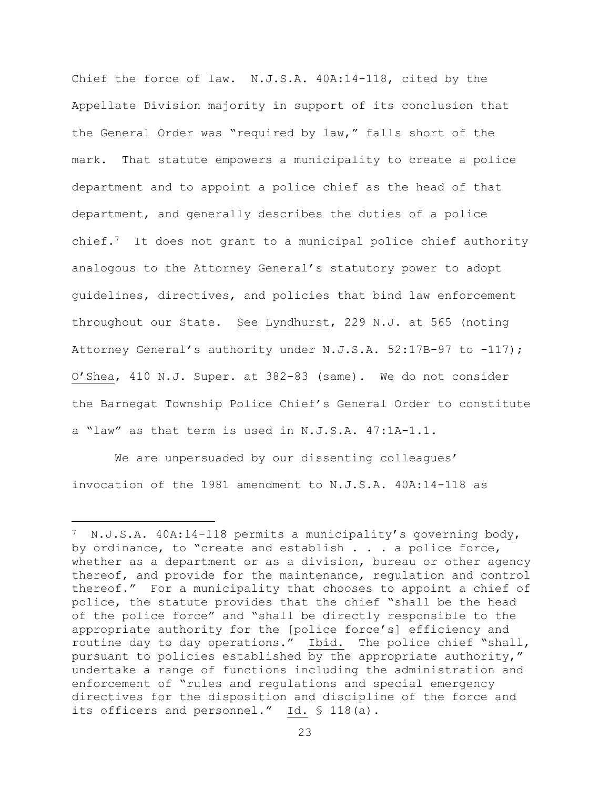Chief the force of law. N.J.S.A. 40A:14-118, cited by the Appellate Division majority in support of its conclusion that the General Order was "required by law," falls short of the mark. That statute empowers a municipality to create a police department and to appoint a police chief as the head of that department, and generally describes the duties of a police chief.7 It does not grant to a municipal police chief authority analogous to the Attorney General's statutory power to adopt guidelines, directives, and policies that bind law enforcement throughout our State. See Lyndhurst, 229 N.J. at 565 (noting Attorney General's authority under N.J.S.A. 52:17B-97 to -117); O'Shea, 410 N.J. Super. at 382-83 (same). We do not consider the Barnegat Township Police Chief's General Order to constitute a "law" as that term is used in N.J.S.A. 47:1A-1.1.

We are unpersuaded by our dissenting colleagues' invocation of the 1981 amendment to N.J.S.A. 40A:14-118 as

L,

 $7$  N.J.S.A. 40A:14-118 permits a municipality's governing body, by ordinance, to "create and establish . . . a police force, whether as a department or as a division, bureau or other agency thereof, and provide for the maintenance, regulation and control thereof." For a municipality that chooses to appoint a chief of police, the statute provides that the chief "shall be the head of the police force" and "shall be directly responsible to the appropriate authority for the [police force's] efficiency and routine day to day operations." Ibid. The police chief "shall, pursuant to policies established by the appropriate authority," undertake a range of functions including the administration and enforcement of "rules and regulations and special emergency directives for the disposition and discipline of the force and its officers and personnel." Id. § 118(a).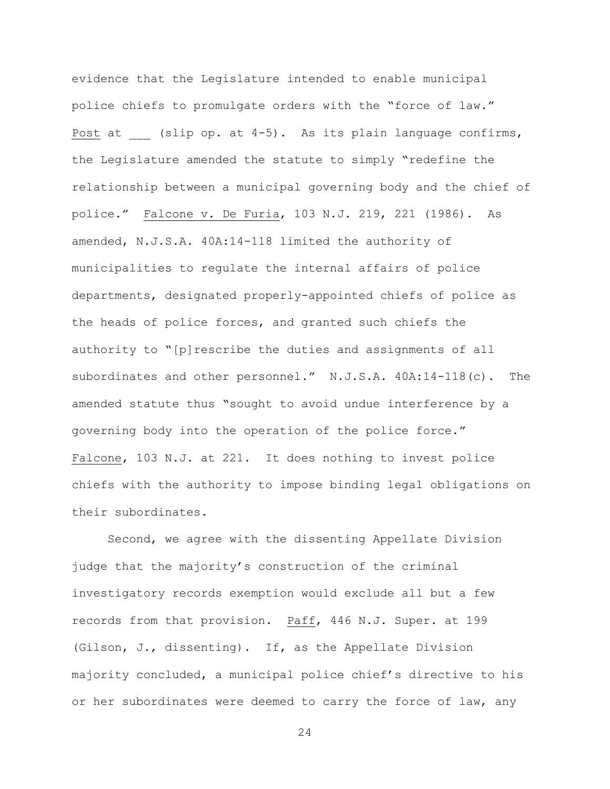evidence that the Legislature intended to enable municipal police chiefs to promulgate orders with the "force of law." Post at  $\qquad$  (slip op. at 4-5). As its plain language confirms, the Legislature amended the statute to simply "redefine the relationship between a municipal governing body and the chief of police." Falcone v. De Furia, 103 N.J. 219, 221 (1986). As amended, N.J.S.A. 40A:14-118 limited the authority of municipalities to regulate the internal affairs of police departments, designated properly-appointed chiefs of police as the heads of police forces, and granted such chiefs the authority to "[p]rescribe the duties and assignments of all subordinates and other personnel." N.J.S.A. 40A:14-118(c). The amended statute thus "sought to avoid undue interference by a governing body into the operation of the police force." Falcone, 103 N.J. at 221. It does nothing to invest police chiefs with the authority to impose binding legal obligations on their subordinates.

Second, we agree with the dissenting Appellate Division judge that the majority's construction of the criminal investigatory records exemption would exclude all but a few records from that provision. Paff, 446 N.J. Super. at 199 (Gilson, J., dissenting). If, as the Appellate Division majority concluded, a municipal police chief's directive to his or her subordinates were deemed to carry the force of law, any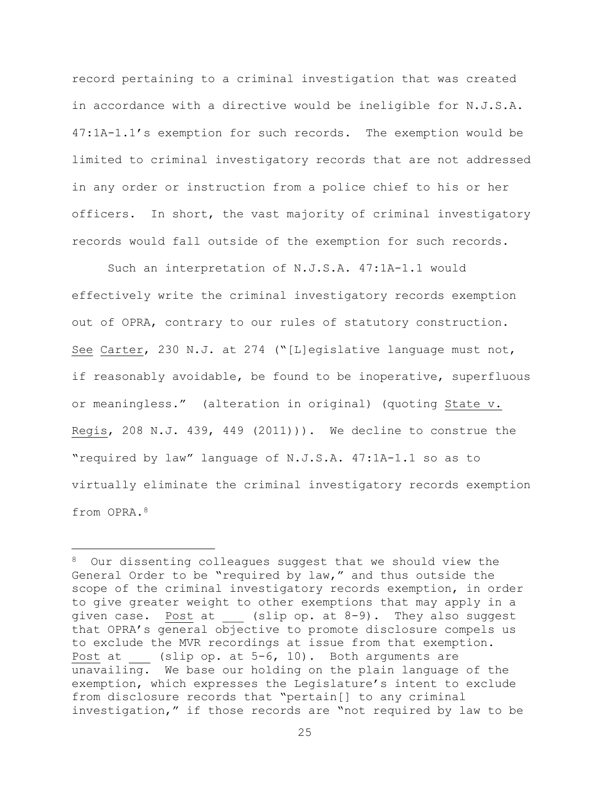record pertaining to a criminal investigation that was created in accordance with a directive would be ineligible for N.J.S.A. 47:1A-1.1's exemption for such records. The exemption would be limited to criminal investigatory records that are not addressed in any order or instruction from a police chief to his or her officers. In short, the vast majority of criminal investigatory records would fall outside of the exemption for such records.

Such an interpretation of N.J.S.A. 47:1A-1.1 would effectively write the criminal investigatory records exemption out of OPRA, contrary to our rules of statutory construction. See Carter, 230 N.J. at 274 ("[L]egislative language must not, if reasonably avoidable, be found to be inoperative, superfluous or meaningless." (alteration in original) (quoting State v. Regis, 208 N.J. 439, 449 (2011))). We decline to construe the "required by law" language of N.J.S.A. 47:1A-1.1 so as to virtually eliminate the criminal investigatory records exemption from OPRA.<sup>8</sup>

i<br>L

<sup>8</sup> Our dissenting colleagues suggest that we should view the General Order to be "required by law," and thus outside the scope of the criminal investigatory records exemption, in order to give greater weight to other exemptions that may apply in a given case. Post at (slip op. at 8-9). They also suggest that OPRA's general objective to promote disclosure compels us to exclude the MVR recordings at issue from that exemption. Post at \_\_\_ (slip op. at 5-6, 10). Both arguments are unavailing. We base our holding on the plain language of the exemption, which expresses the Legislature's intent to exclude from disclosure records that "pertain[] to any criminal investigation," if those records are "not required by law to be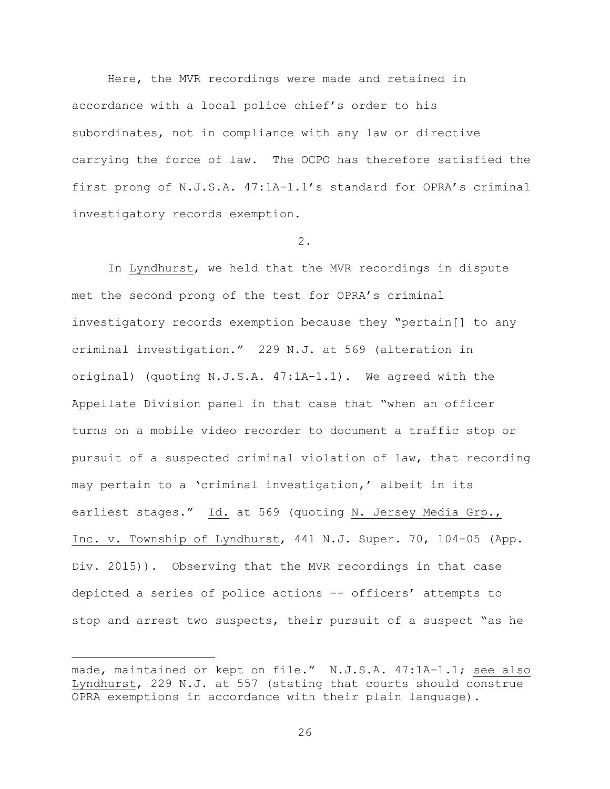Here, the MVR recordings were made and retained in accordance with a local police chief's order to his subordinates, not in compliance with any law or directive carrying the force of law. The OCPO has therefore satisfied the first prong of N.J.S.A. 47:1A-1.1's standard for OPRA's criminal investigatory records exemption.

### 2.

In Lyndhurst, we held that the MVR recordings in dispute met the second prong of the test for OPRA's criminal investigatory records exemption because they "pertain[] to any criminal investigation." 229 N.J. at 569 (alteration in original) (quoting N.J.S.A. 47:1A-1.1). We agreed with the Appellate Division panel in that case that "when an officer turns on a mobile video recorder to document a traffic stop or pursuit of a suspected criminal violation of law, that recording may pertain to a 'criminal investigation,' albeit in its earliest stages." Id. at 569 (quoting N. Jersey Media Grp., Inc. v. Township of Lyndhurst, 441 N.J. Super. 70, 104-05 (App. Div. 2015)). Observing that the MVR recordings in that case depicted a series of police actions -- officers' attempts to stop and arrest two suspects, their pursuit of a suspect "as he

i<br>L

made, maintained or kept on file." N.J.S.A. 47:1A-1.1; see also Lyndhurst, 229 N.J. at 557 (stating that courts should construe OPRA exemptions in accordance with their plain language).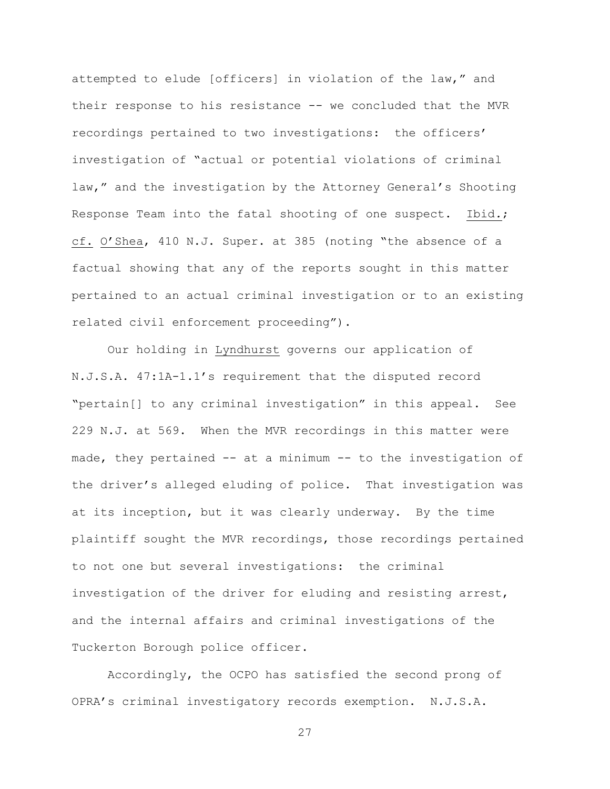attempted to elude [officers] in violation of the law," and their response to his resistance -- we concluded that the MVR recordings pertained to two investigations: the officers' investigation of "actual or potential violations of criminal law," and the investigation by the Attorney General's Shooting Response Team into the fatal shooting of one suspect. Ibid*.*; cf. O'Shea, 410 N.J. Super. at 385 (noting "the absence of a factual showing that any of the reports sought in this matter pertained to an actual criminal investigation or to an existing related civil enforcement proceeding").

Our holding in Lyndhurst governs our application of N.J.S.A. 47:1A-1.1's requirement that the disputed record "pertain[] to any criminal investigation" in this appeal. See 229 N.J. at 569. When the MVR recordings in this matter were made, they pertained  $--$  at a minimum  $--$  to the investigation of the driver's alleged eluding of police. That investigation was at its inception, but it was clearly underway. By the time plaintiff sought the MVR recordings, those recordings pertained to not one but several investigations: the criminal investigation of the driver for eluding and resisting arrest, and the internal affairs and criminal investigations of the Tuckerton Borough police officer.

Accordingly, the OCPO has satisfied the second prong of OPRA's criminal investigatory records exemption. N.J.S.A.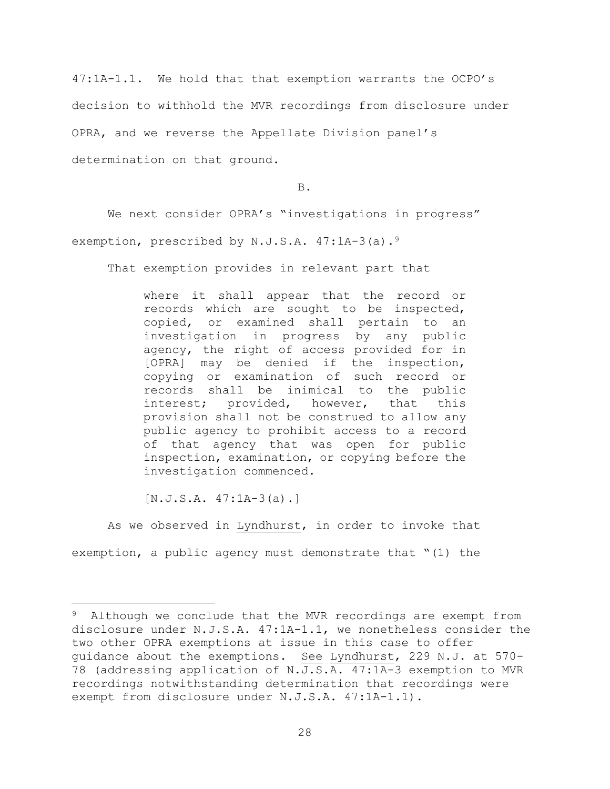47:1A-1.1. We hold that that exemption warrants the OCPO's decision to withhold the MVR recordings from disclosure under OPRA, and we reverse the Appellate Division panel's determination on that ground.

B.

We next consider OPRA's "investigations in progress" exemption, prescribed by N.J.S.A. 47:1A-3(a).<sup>9</sup>

That exemption provides in relevant part that

where it shall appear that the record or records which are sought to be inspected, copied, or examined shall pertain to an investigation in progress by any public agency, the right of access provided for in [OPRA] may be denied if the inspection, copying or examination of such record or records shall be inimical to the public interest; provided, however, that this provision shall not be construed to allow any public agency to prohibit access to a record of that agency that was open for public inspection, examination, or copying before the investigation commenced.

 $[N.J.S.A. 47:1A-3(a).]$ 

i<br>L

As we observed in Lyndhurst, in order to invoke that exemption, a public agency must demonstrate that "(1) the

<sup>&</sup>lt;sup>9</sup> Although we conclude that the MVR recordings are exempt from disclosure under N.J.S.A. 47:1A-1.1, we nonetheless consider the two other OPRA exemptions at issue in this case to offer guidance about the exemptions. See Lyndhurst, 229 N.J. at 570- 78 (addressing application of N.J.S.A. 47:1A-3 exemption to MVR recordings notwithstanding determination that recordings were exempt from disclosure under N.J.S.A. 47:1A-1.1).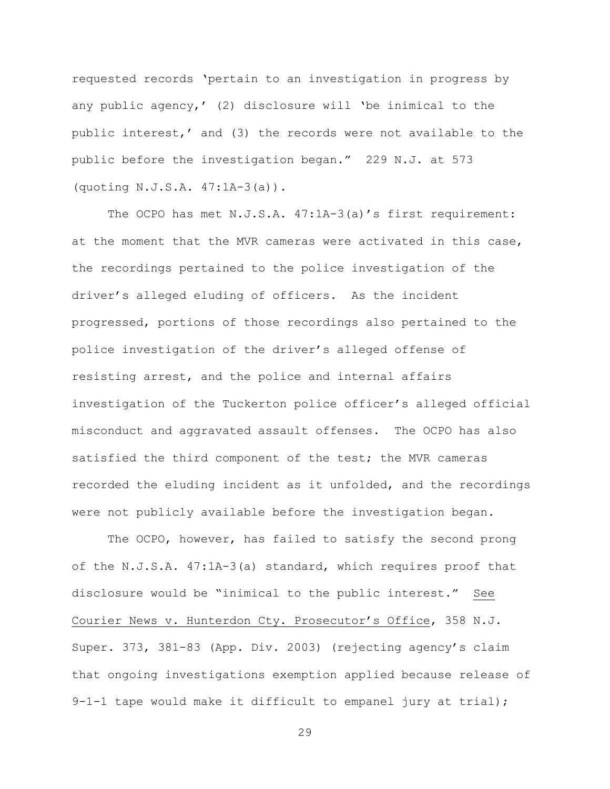requested records 'pertain to an investigation in progress by any public agency,' (2) disclosure will 'be inimical to the public interest,' and (3) the records were not available to the public before the investigation began." 229 N.J. at 573 (quoting N.J.S.A. 47:1A-3(a)).

The OCPO has met N.J.S.A. 47:1A-3(a)'s first requirement: at the moment that the MVR cameras were activated in this case, the recordings pertained to the police investigation of the driver's alleged eluding of officers. As the incident progressed, portions of those recordings also pertained to the police investigation of the driver's alleged offense of resisting arrest, and the police and internal affairs investigation of the Tuckerton police officer's alleged official misconduct and aggravated assault offenses. The OCPO has also satisfied the third component of the test; the MVR cameras recorded the eluding incident as it unfolded, and the recordings were not publicly available before the investigation began.

The OCPO, however, has failed to satisfy the second prong of the N.J.S.A. 47:1A-3(a) standard, which requires proof that disclosure would be "inimical to the public interest." See Courier News v. Hunterdon Cty. Prosecutor's Office, 358 N.J. Super. 373, 381-83 (App. Div. 2003) (rejecting agency's claim that ongoing investigations exemption applied because release of 9-1-1 tape would make it difficult to empanel jury at trial);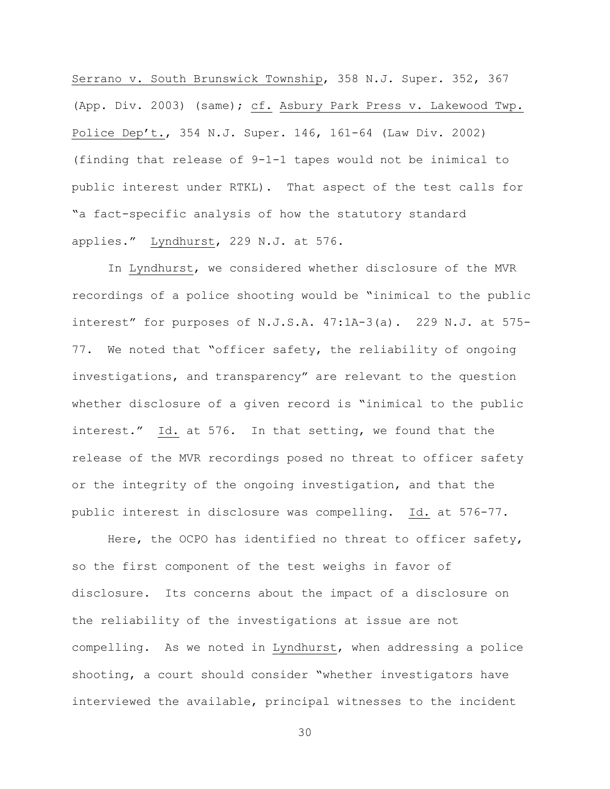Serrano v. South Brunswick Township, 358 N.J. Super. 352, 367 (App. Div. 2003) (same); cf. Asbury Park Press v. Lakewood Twp. Police Dep't., 354 N.J. Super. 146, 161-64 (Law Div. 2002) (finding that release of 9-1-1 tapes would not be inimical to public interest under RTKL). That aspect of the test calls for "a fact-specific analysis of how the statutory standard applies." Lyndhurst, 229 N.J. at 576.

In Lyndhurst, we considered whether disclosure of the MVR recordings of a police shooting would be "inimical to the public interest" for purposes of N.J.S.A. 47:1A-3(a). 229 N.J. at 575- 77. We noted that "officer safety, the reliability of ongoing investigations, and transparency" are relevant to the question whether disclosure of a given record is "inimical to the public interest." Id. at 576. In that setting, we found that the release of the MVR recordings posed no threat to officer safety or the integrity of the ongoing investigation, and that the public interest in disclosure was compelling. Id. at 576-77.

Here, the OCPO has identified no threat to officer safety, so the first component of the test weighs in favor of disclosure. Its concerns about the impact of a disclosure on the reliability of the investigations at issue are not compelling. As we noted in Lyndhurst, when addressing a police shooting, a court should consider "whether investigators have interviewed the available, principal witnesses to the incident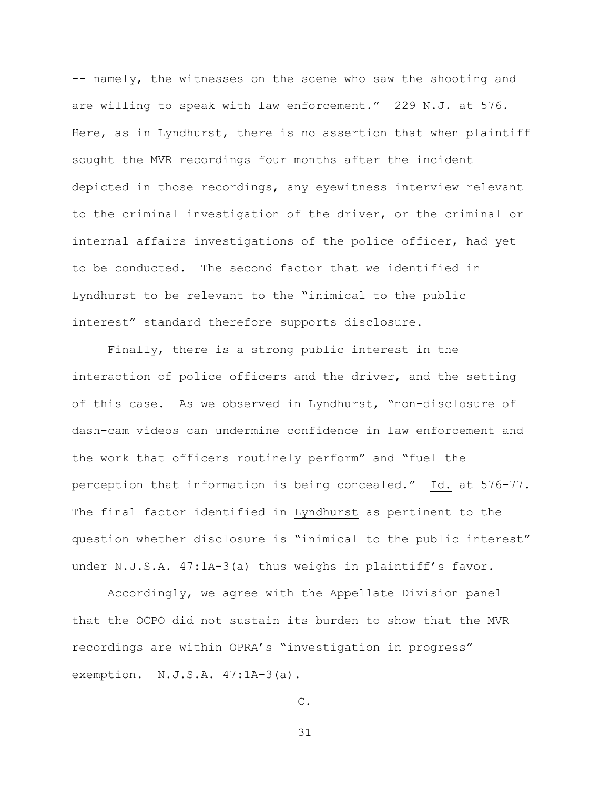-- namely, the witnesses on the scene who saw the shooting and are willing to speak with law enforcement." 229 N.J. at 576. Here, as in Lyndhurst, there is no assertion that when plaintiff sought the MVR recordings four months after the incident depicted in those recordings, any eyewitness interview relevant to the criminal investigation of the driver, or the criminal or internal affairs investigations of the police officer, had yet to be conducted. The second factor that we identified in Lyndhurst to be relevant to the "inimical to the public interest" standard therefore supports disclosure.

Finally, there is a strong public interest in the interaction of police officers and the driver, and the setting of this case. As we observed in Lyndhurst, "non-disclosure of dash-cam videos can undermine confidence in law enforcement and the work that officers routinely perform" and "fuel the perception that information is being concealed." Id. at 576-77. The final factor identified in Lyndhurst as pertinent to the question whether disclosure is "inimical to the public interest" under N.J.S.A. 47:1A-3(a) thus weighs in plaintiff's favor.

Accordingly, we agree with the Appellate Division panel that the OCPO did not sustain its burden to show that the MVR recordings are within OPRA's "investigation in progress" exemption. N.J.S.A. 47:1A-3(a).

C.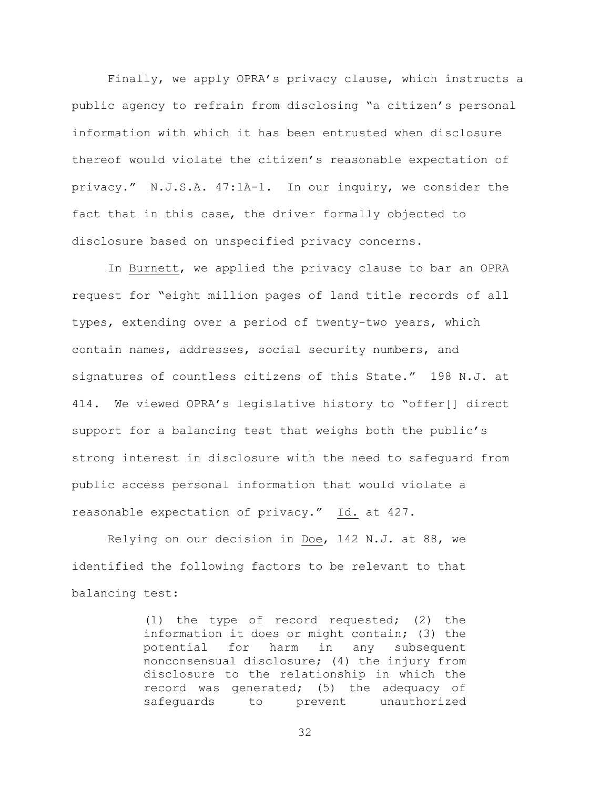Finally, we apply OPRA's privacy clause, which instructs a public agency to refrain from disclosing "a citizen's personal information with which it has been entrusted when disclosure thereof would violate the citizen's reasonable expectation of privacy." N.J.S.A. 47:1A-1. In our inquiry, we consider the fact that in this case, the driver formally objected to disclosure based on unspecified privacy concerns.

In Burnett, we applied the privacy clause to bar an OPRA request for "eight million pages of land title records of all types, extending over a period of twenty-two years, which contain names, addresses, social security numbers, and signatures of countless citizens of this State." 198 N.J. at 414. We viewed OPRA's legislative history to "offer[] direct support for a balancing test that weighs both the public's strong interest in disclosure with the need to safeguard from public access personal information that would violate a reasonable expectation of privacy." Id. at 427.

Relying on our decision in Doe, 142 N.J. at 88, we identified the following factors to be relevant to that balancing test:

> (1) the type of record requested; (2) the information it does or might contain; (3) the potential for harm in any subsequent nonconsensual disclosure; (4) the injury from disclosure to the relationship in which the record was generated; (5) the adequacy of safeguards to prevent unauthorized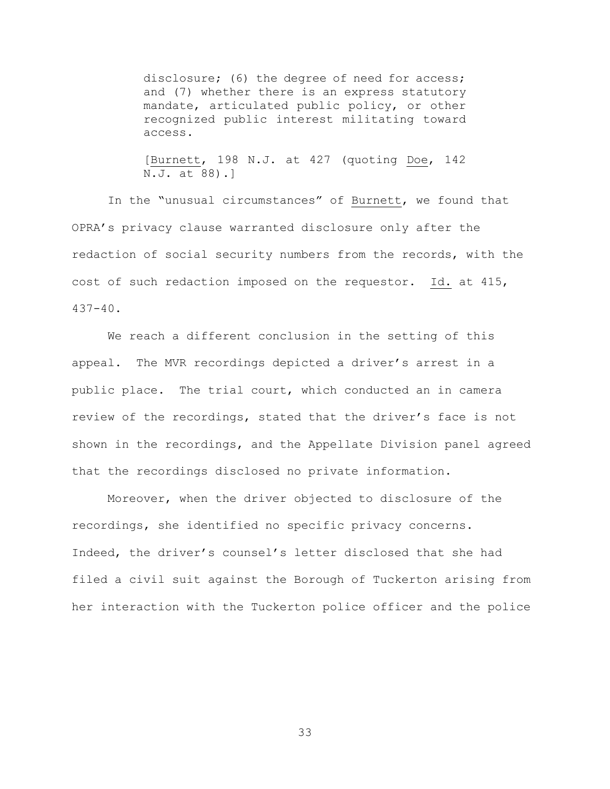disclosure; (6) the degree of need for access; and (7) whether there is an express statutory mandate, articulated public policy, or other recognized public interest militating toward access.

[Burnett, 198 N.J. at 427 (quoting Doe, 142 N.J. at 88).]

In the "unusual circumstances" of Burnett, we found that OPRA's privacy clause warranted disclosure only after the redaction of social security numbers from the records, with the cost of such redaction imposed on the requestor. Id. at 415, 437-40.

We reach a different conclusion in the setting of this appeal. The MVR recordings depicted a driver's arrest in a public place. The trial court, which conducted an in camera review of the recordings, stated that the driver's face is not shown in the recordings, and the Appellate Division panel agreed that the recordings disclosed no private information.

Moreover, when the driver objected to disclosure of the recordings, she identified no specific privacy concerns. Indeed, the driver's counsel's letter disclosed that she had filed a civil suit against the Borough of Tuckerton arising from her interaction with the Tuckerton police officer and the police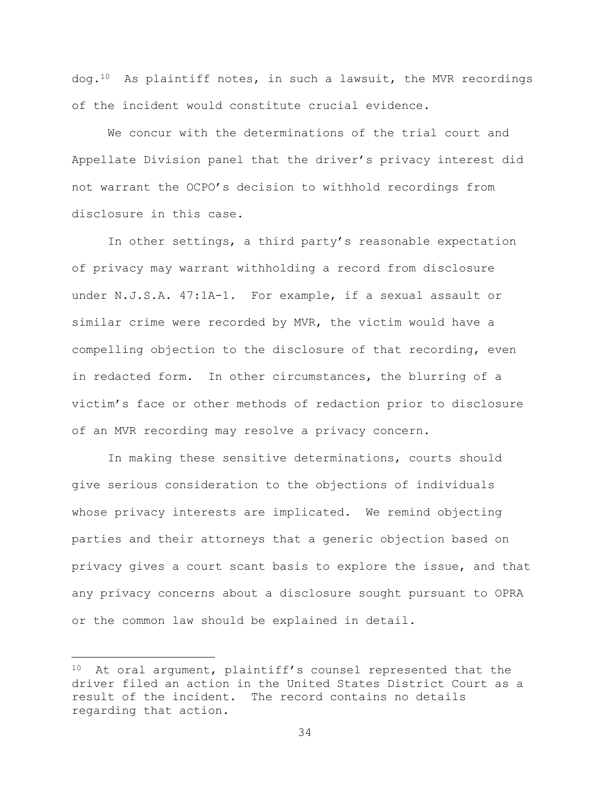dog.<sup>10</sup> As plaintiff notes, in such a lawsuit, the MVR recordings of the incident would constitute crucial evidence.

We concur with the determinations of the trial court and Appellate Division panel that the driver's privacy interest did not warrant the OCPO's decision to withhold recordings from disclosure in this case.

In other settings, a third party's reasonable expectation of privacy may warrant withholding a record from disclosure under N.J.S.A. 47:1A-1. For example, if a sexual assault or similar crime were recorded by MVR, the victim would have a compelling objection to the disclosure of that recording, even in redacted form. In other circumstances, the blurring of a victim's face or other methods of redaction prior to disclosure of an MVR recording may resolve a privacy concern.

In making these sensitive determinations, courts should give serious consideration to the objections of individuals whose privacy interests are implicated. We remind objecting parties and their attorneys that a generic objection based on privacy gives a court scant basis to explore the issue, and that any privacy concerns about a disclosure sought pursuant to OPRA or the common law should be explained in detail.

i<br>L

<sup>10</sup> At oral argument, plaintiff's counsel represented that the driver filed an action in the United States District Court as a result of the incident. The record contains no details regarding that action.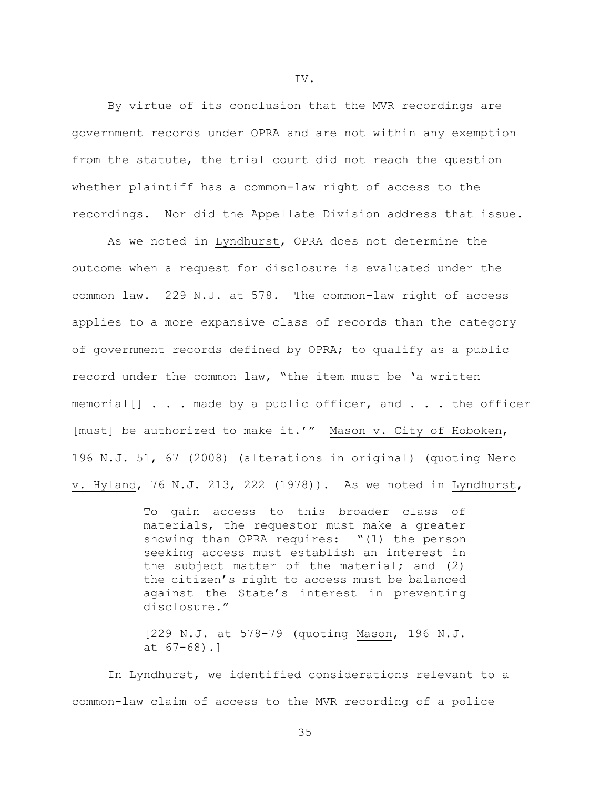By virtue of its conclusion that the MVR recordings are government records under OPRA and are not within any exemption from the statute, the trial court did not reach the question whether plaintiff has a common-law right of access to the recordings. Nor did the Appellate Division address that issue.

As we noted in Lyndhurst, OPRA does not determine the outcome when a request for disclosure is evaluated under the common law. 229 N.J. at 578. The common-law right of access applies to a more expansive class of records than the category of government records defined by OPRA; to qualify as a public record under the common law, "the item must be 'a written memorial[] . . . made by a public officer, and . . . the officer [must] be authorized to make it.'" Mason v. City of Hoboken, 196 N.J. 51, 67 (2008) (alterations in original) (quoting Nero v. Hyland, 76 N.J. 213, 222 (1978)). As we noted in Lyndhurst,

> To gain access to this broader class of materials, the requestor must make a greater showing than OPRA requires: "(1) the person seeking access must establish an interest in the subject matter of the material; and (2) the citizen's right to access must be balanced against the State's interest in preventing disclosure."

> [229 N.J. at 578-79 (quoting Mason, 196 N.J. at 67-68).]

In Lyndhurst, we identified considerations relevant to a common-law claim of access to the MVR recording of a police

IV.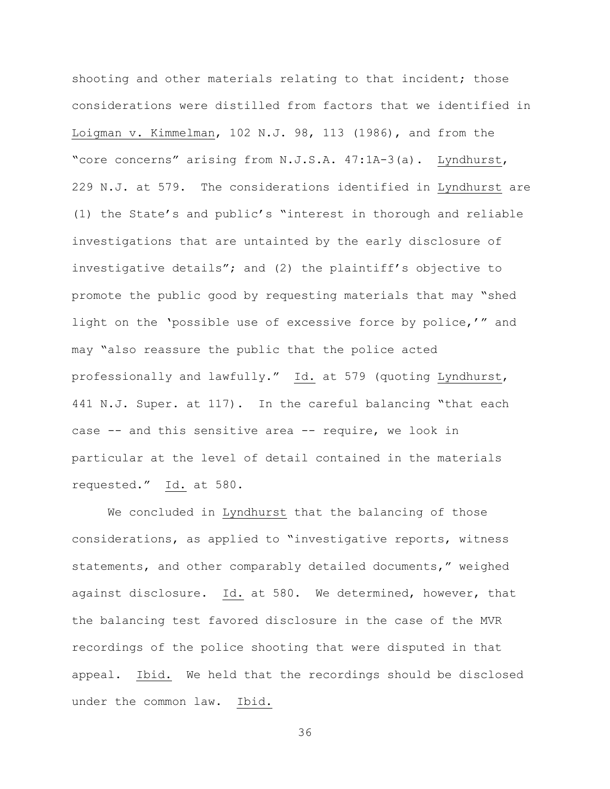shooting and other materials relating to that incident; those considerations were distilled from factors that we identified in Loigman v. Kimmelman, 102 N.J. 98, 113 (1986), and from the "core concerns" arising from N.J.S.A. 47:1A-3(a). Lyndhurst, 229 N.J. at 579. The considerations identified in Lyndhurst are (1) the State's and public's "interest in thorough and reliable investigations that are untainted by the early disclosure of investigative details"; and (2) the plaintiff's objective to promote the public good by requesting materials that may "shed light on the 'possible use of excessive force by police,'" and may "also reassure the public that the police acted professionally and lawfully." Id. at 579 (quoting Lyndhurst, 441 N.J. Super. at 117). In the careful balancing "that each case -- and this sensitive area -- require, we look in particular at the level of detail contained in the materials requested." Id. at 580.

We concluded in Lyndhurst that the balancing of those considerations, as applied to "investigative reports, witness statements, and other comparably detailed documents," weighed against disclosure. Id. at 580. We determined, however, that the balancing test favored disclosure in the case of the MVR recordings of the police shooting that were disputed in that appeal. Ibid. We held that the recordings should be disclosed under the common law. Ibid.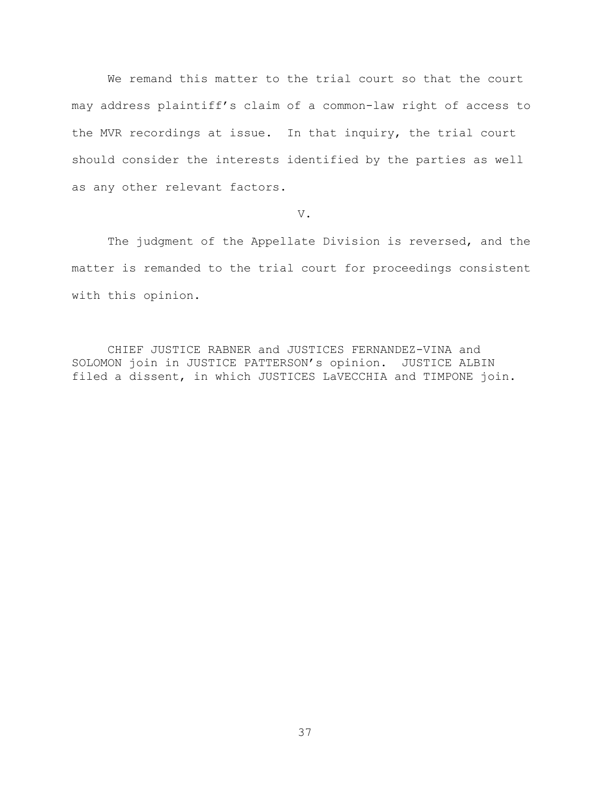We remand this matter to the trial court so that the court may address plaintiff's claim of a common-law right of access to the MVR recordings at issue. In that inquiry, the trial court should consider the interests identified by the parties as well as any other relevant factors.

V.

The judgment of the Appellate Division is reversed, and the matter is remanded to the trial court for proceedings consistent with this opinion.

CHIEF JUSTICE RABNER and JUSTICES FERNANDEZ-VINA and SOLOMON join in JUSTICE PATTERSON's opinion. JUSTICE ALBIN filed a dissent, in which JUSTICES LaVECCHIA and TIMPONE join.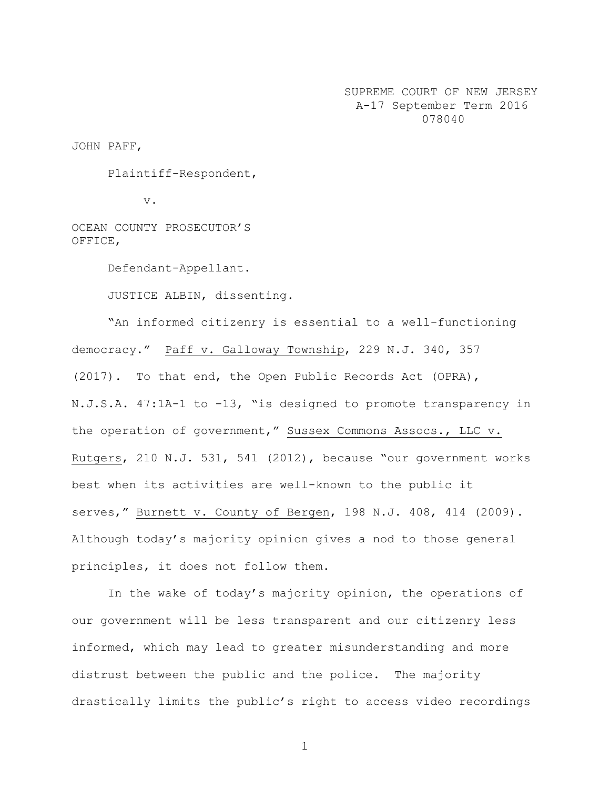SUPREME COURT OF NEW JERSEY A-17 September Term 2016 078040

JOHN PAFF,

Plaintiff-Respondent,

v.

OCEAN COUNTY PROSECUTOR'S OFFICE,

Defendant-Appellant.

JUSTICE ALBIN, dissenting.

"An informed citizenry is essential to a well-functioning democracy." Paff v. Galloway Township, 229 N.J. 340, 357 (2017). To that end, the Open Public Records Act (OPRA), N.J.S.A. 47:1A-1 to -13, "is designed to promote transparency in the operation of government," Sussex Commons Assocs., LLC v. Rutgers, 210 N.J. 531, 541 (2012), because "our government works best when its activities are well-known to the public it serves," Burnett v. County of Bergen, 198 N.J. 408, 414 (2009). Although today's majority opinion gives a nod to those general principles, it does not follow them.

In the wake of today's majority opinion, the operations of our government will be less transparent and our citizenry less informed, which may lead to greater misunderstanding and more distrust between the public and the police. The majority drastically limits the public's right to access video recordings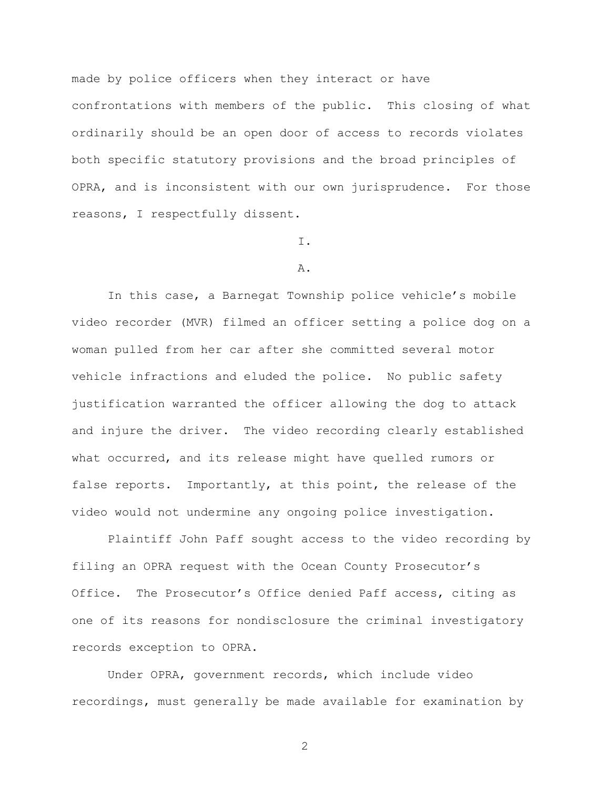made by police officers when they interact or have confrontations with members of the public. This closing of what ordinarily should be an open door of access to records violates both specific statutory provisions and the broad principles of OPRA, and is inconsistent with our own jurisprudence. For those reasons, I respectfully dissent.

## I.

### A.

In this case, a Barnegat Township police vehicle's mobile video recorder (MVR) filmed an officer setting a police dog on a woman pulled from her car after she committed several motor vehicle infractions and eluded the police. No public safety justification warranted the officer allowing the dog to attack and injure the driver. The video recording clearly established what occurred, and its release might have quelled rumors or false reports. Importantly, at this point, the release of the video would not undermine any ongoing police investigation.

Plaintiff John Paff sought access to the video recording by filing an OPRA request with the Ocean County Prosecutor's Office. The Prosecutor's Office denied Paff access, citing as one of its reasons for nondisclosure the criminal investigatory records exception to OPRA.

Under OPRA, government records, which include video recordings, must generally be made available for examination by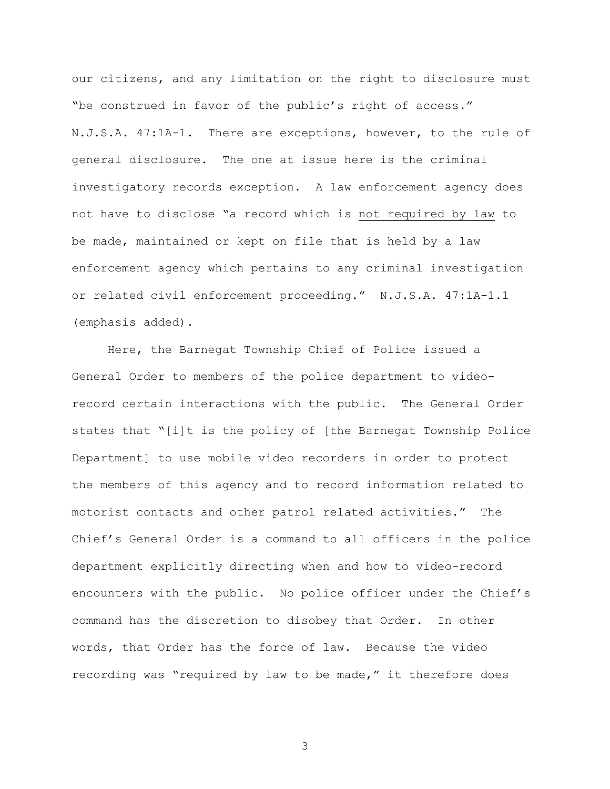our citizens, and any limitation on the right to disclosure must "be construed in favor of the public's right of access." N.J.S.A. 47:1A-1. There are exceptions, however, to the rule of general disclosure. The one at issue here is the criminal investigatory records exception. A law enforcement agency does not have to disclose "a record which is not required by law to be made, maintained or kept on file that is held by a law enforcement agency which pertains to any criminal investigation or related civil enforcement proceeding." N.J.S.A. 47:1A-1.1 (emphasis added).

Here, the Barnegat Township Chief of Police issued a General Order to members of the police department to videorecord certain interactions with the public. The General Order states that "[i]t is the policy of [the Barnegat Township Police Department] to use mobile video recorders in order to protect the members of this agency and to record information related to motorist contacts and other patrol related activities." The Chief's General Order is a command to all officers in the police department explicitly directing when and how to video-record encounters with the public. No police officer under the Chief's command has the discretion to disobey that Order. In other words, that Order has the force of law. Because the video recording was "required by law to be made," it therefore does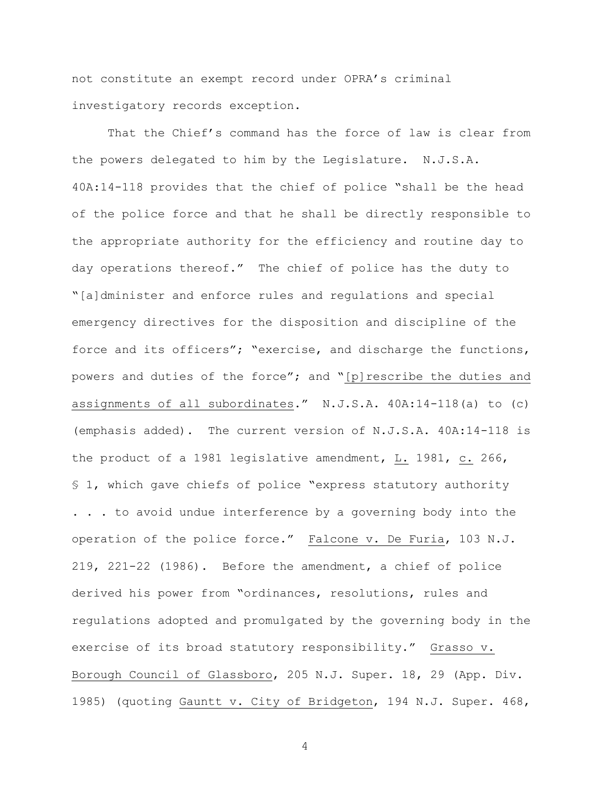not constitute an exempt record under OPRA's criminal investigatory records exception.

That the Chief's command has the force of law is clear from the powers delegated to him by the Legislature. N.J.S.A. 40A:14-118 provides that the chief of police "shall be the head of the police force and that he shall be directly responsible to the appropriate authority for the efficiency and routine day to day operations thereof." The chief of police has the duty to "[a]dminister and enforce rules and regulations and special emergency directives for the disposition and discipline of the force and its officers"; "exercise, and discharge the functions, powers and duties of the force"; and "[p]rescribe the duties and assignments of all subordinates." N.J.S.A. 40A:14-118(a) to (c) (emphasis added). The current version of N.J.S.A. 40A:14-118 is the product of a 1981 legislative amendment, L. 1981, c. 266, § 1, which gave chiefs of police "express statutory authority . . . to avoid undue interference by a governing body into the operation of the police force." Falcone v. De Furia, 103 N.J. 219, 221-22 (1986). Before the amendment, a chief of police derived his power from "ordinances, resolutions, rules and regulations adopted and promulgated by the governing body in the exercise of its broad statutory responsibility." Grasso v. Borough Council of Glassboro, 205 N.J. Super. 18, 29 (App. Div. 1985) (quoting Gauntt v. City of Bridgeton, 194 N.J. Super. 468,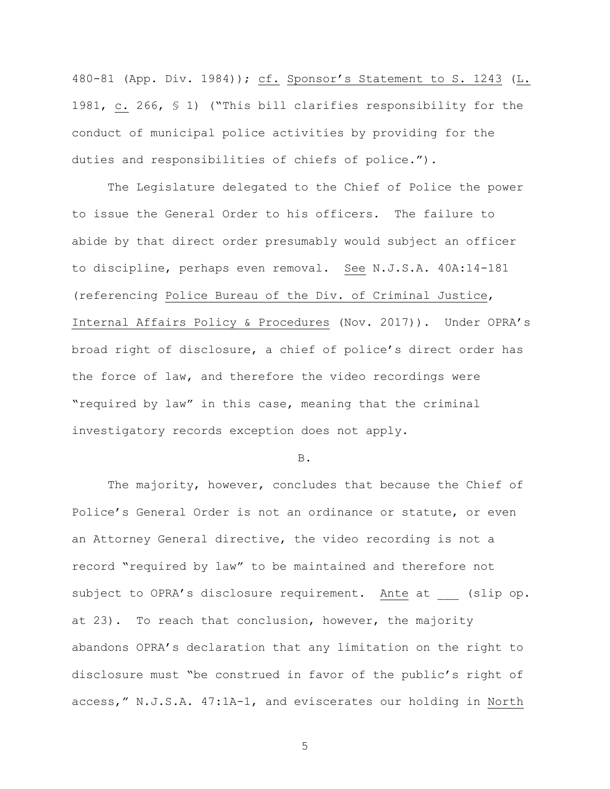480-81 (App. Div. 1984)); cf. Sponsor's Statement to S. 1243 (L. 1981, c. 266, § 1) ("This bill clarifies responsibility for the conduct of municipal police activities by providing for the duties and responsibilities of chiefs of police.").

The Legislature delegated to the Chief of Police the power to issue the General Order to his officers. The failure to abide by that direct order presumably would subject an officer to discipline, perhaps even removal. See N.J.S.A. 40A:14-181 (referencing Police Bureau of the Div. of Criminal Justice, Internal Affairs Policy & Procedures (Nov. 2017)). Under OPRA's broad right of disclosure, a chief of police's direct order has the force of law, and therefore the video recordings were "required by law" in this case, meaning that the criminal investigatory records exception does not apply.

B.

The majority, however, concludes that because the Chief of Police's General Order is not an ordinance or statute, or even an Attorney General directive, the video recording is not a record "required by law" to be maintained and therefore not subject to OPRA's disclosure requirement. Ante at (slip op. at 23). To reach that conclusion, however, the majority abandons OPRA's declaration that any limitation on the right to disclosure must "be construed in favor of the public's right of access," N.J.S.A. 47:1A-1, and eviscerates our holding in North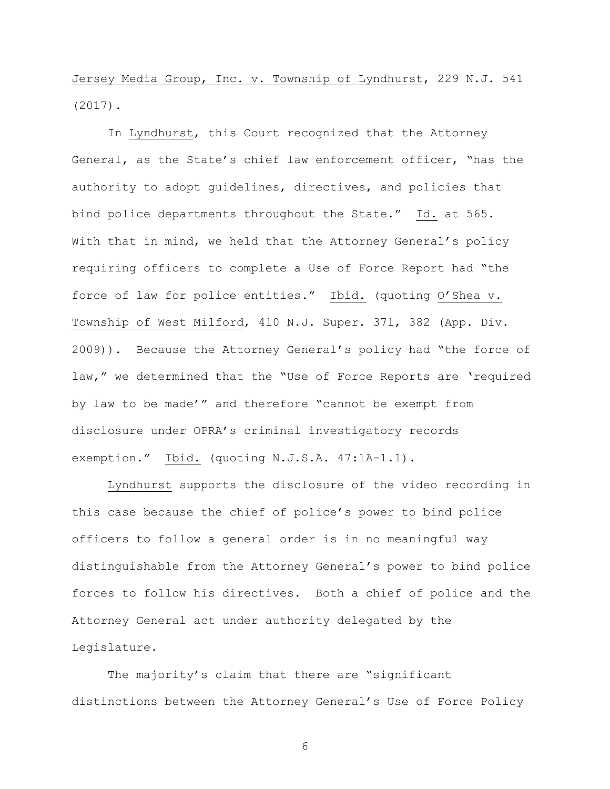Jersey Media Group, Inc. v. Township of Lyndhurst, 229 N.J. 541 (2017).

In Lyndhurst, this Court recognized that the Attorney General, as the State's chief law enforcement officer, "has the authority to adopt guidelines, directives, and policies that bind police departments throughout the State." Id. at 565. With that in mind, we held that the Attorney General's policy requiring officers to complete a Use of Force Report had "the force of law for police entities." Ibid. (quoting O'Shea v. Township of West Milford, 410 N.J. Super. 371, 382 (App. Div. 2009)). Because the Attorney General's policy had "the force of law," we determined that the "Use of Force Reports are 'required by law to be made'" and therefore "cannot be exempt from disclosure under OPRA's criminal investigatory records exemption." Ibid. (quoting N.J.S.A. 47:1A-1.1).

Lyndhurst supports the disclosure of the video recording in this case because the chief of police's power to bind police officers to follow a general order is in no meaningful way distinguishable from the Attorney General's power to bind police forces to follow his directives. Both a chief of police and the Attorney General act under authority delegated by the Legislature.

The majority's claim that there are "significant distinctions between the Attorney General's Use of Force Policy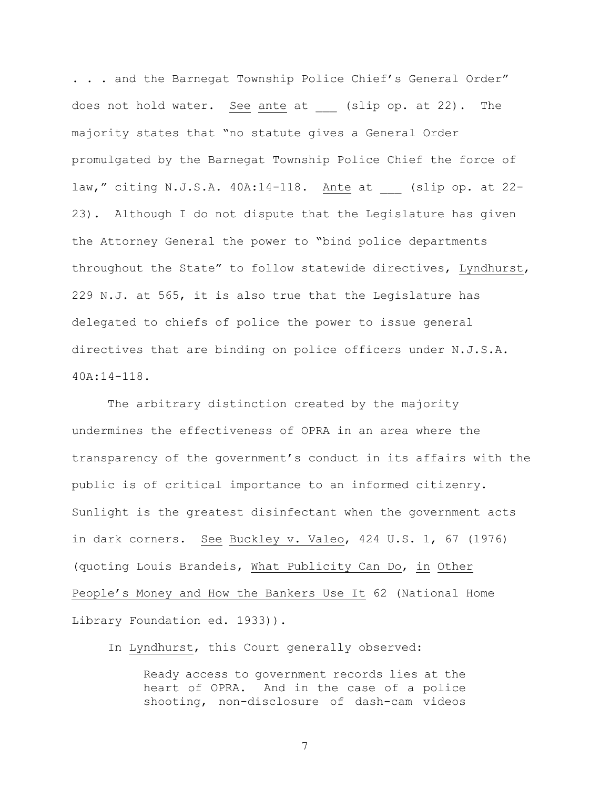. . . and the Barnegat Township Police Chief's General Order" does not hold water. See ante at (slip op. at 22). The majority states that "no statute gives a General Order promulgated by the Barnegat Township Police Chief the force of law," citing N.J.S.A. 40A:14-118. Ante at (slip op. at 22-23). Although I do not dispute that the Legislature has given the Attorney General the power to "bind police departments throughout the State" to follow statewide directives, Lyndhurst, 229 N.J. at 565, it is also true that the Legislature has delegated to chiefs of police the power to issue general directives that are binding on police officers under N.J.S.A. 40A:14-118.

The arbitrary distinction created by the majority undermines the effectiveness of OPRA in an area where the transparency of the government's conduct in its affairs with the public is of critical importance to an informed citizenry. Sunlight is the greatest disinfectant when the government acts in dark corners. See Buckley v. Valeo, 424 U.S. 1, 67 (1976) (quoting Louis Brandeis, What Publicity Can Do, in Other People's Money and How the Bankers Use It 62 (National Home Library Foundation ed. 1933)).

In Lyndhurst, this Court generally observed:

Ready access to government records lies at the heart of OPRA. And in the case of a police shooting, non-disclosure of dash-cam videos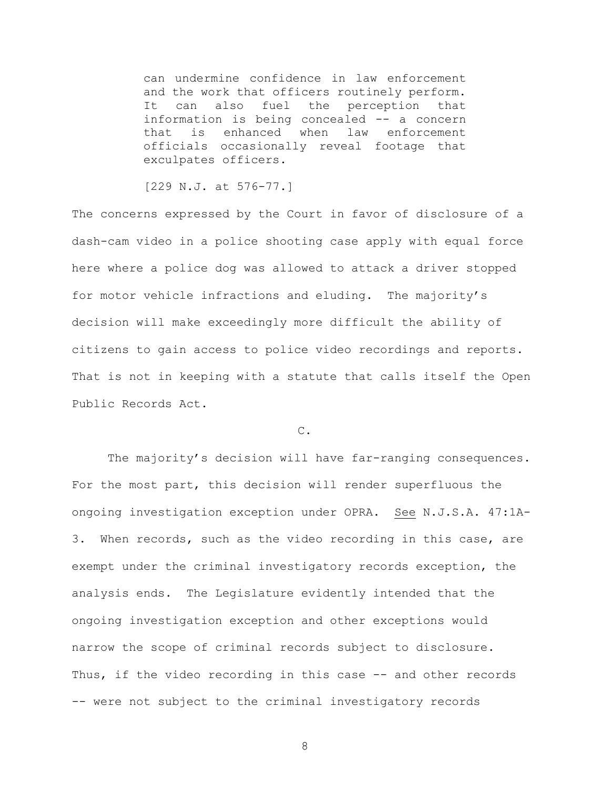can undermine confidence in law enforcement and the work that officers routinely perform. It can also fuel the perception that information is being concealed -- a concern that is enhanced when law enforcement officials occasionally reveal footage that exculpates officers.

[229 N.J. at 576-77.]

The concerns expressed by the Court in favor of disclosure of a dash-cam video in a police shooting case apply with equal force here where a police dog was allowed to attack a driver stopped for motor vehicle infractions and eluding. The majority's decision will make exceedingly more difficult the ability of citizens to gain access to police video recordings and reports. That is not in keeping with a statute that calls itself the Open Public Records Act.

## C.

The majority's decision will have far-ranging consequences. For the most part, this decision will render superfluous the ongoing investigation exception under OPRA. See N.J.S.A. 47:1A-3. When records, such as the video recording in this case, are exempt under the criminal investigatory records exception, the analysis ends. The Legislature evidently intended that the ongoing investigation exception and other exceptions would narrow the scope of criminal records subject to disclosure. Thus, if the video recording in this case -- and other records -- were not subject to the criminal investigatory records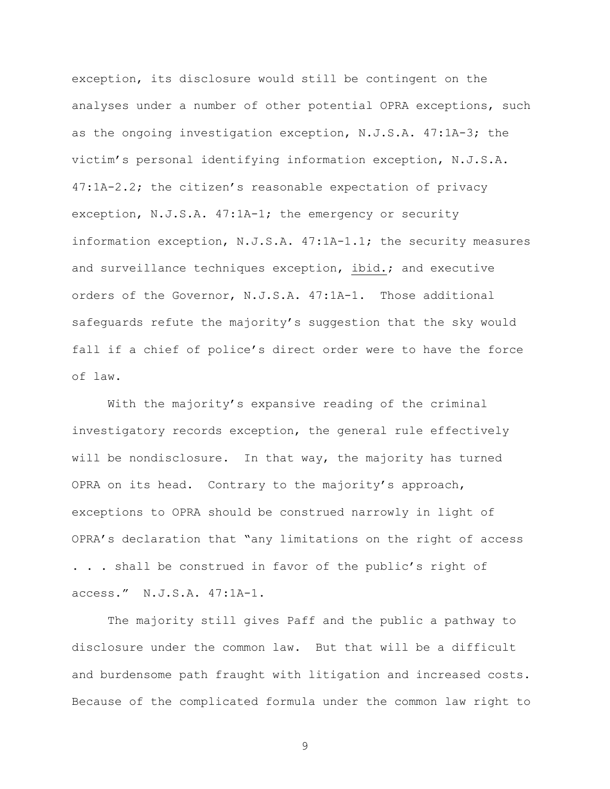exception, its disclosure would still be contingent on the analyses under a number of other potential OPRA exceptions, such as the ongoing investigation exception, N.J.S.A. 47:1A-3; the victim's personal identifying information exception, N.J.S.A. 47:1A-2.2; the citizen's reasonable expectation of privacy exception, N.J.S.A. 47:1A-1; the emergency or security information exception, N.J.S.A. 47:1A-1.1; the security measures and surveillance techniques exception, ibid.; and executive orders of the Governor, N.J.S.A. 47:1A-1. Those additional safeguards refute the majority's suggestion that the sky would fall if a chief of police's direct order were to have the force of law.

With the majority's expansive reading of the criminal investigatory records exception, the general rule effectively will be nondisclosure. In that way, the majority has turned OPRA on its head. Contrary to the majority's approach, exceptions to OPRA should be construed narrowly in light of OPRA's declaration that "any limitations on the right of access . . . shall be construed in favor of the public's right of access." N.J.S.A. 47:1A-1.

The majority still gives Paff and the public a pathway to disclosure under the common law. But that will be a difficult and burdensome path fraught with litigation and increased costs. Because of the complicated formula under the common law right to